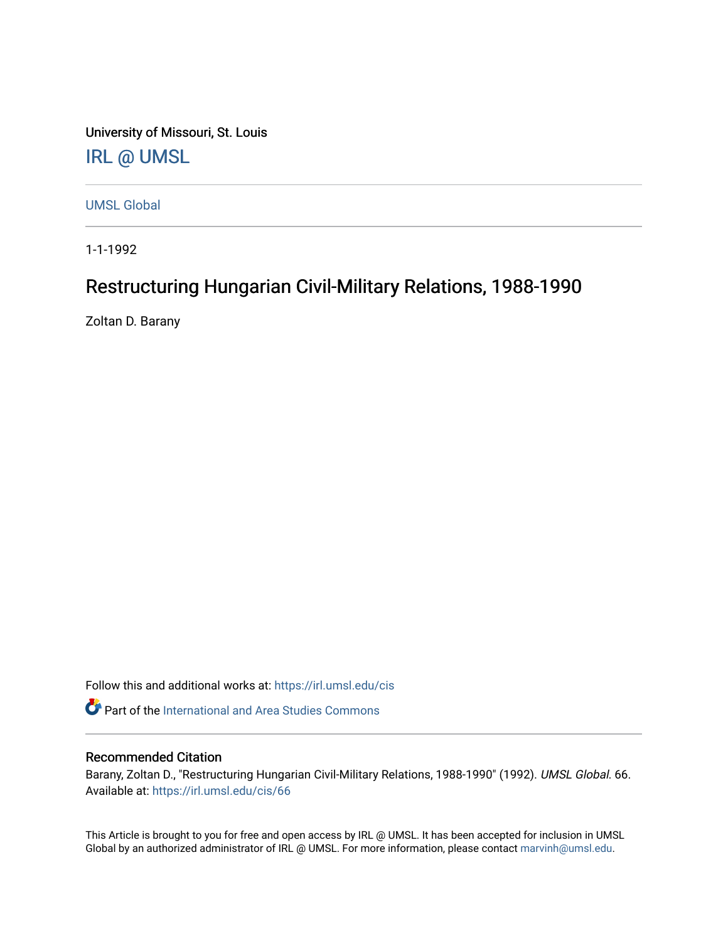University of Missouri, St. Louis [IRL @ UMSL](https://irl.umsl.edu/) 

[UMSL Global](https://irl.umsl.edu/cis)

1-1-1992

# Restructuring Hungarian Civil-Military Relations, 1988-1990

Zoltan D. Barany

Follow this and additional works at: [https://irl.umsl.edu/cis](https://irl.umsl.edu/cis?utm_source=irl.umsl.edu%2Fcis%2F66&utm_medium=PDF&utm_campaign=PDFCoverPages) 

**Part of the International and Area Studies Commons** 

### Recommended Citation

Barany, Zoltan D., "Restructuring Hungarian Civil-Military Relations, 1988-1990" (1992). UMSL Global. 66. Available at: [https://irl.umsl.edu/cis/66](https://irl.umsl.edu/cis/66?utm_source=irl.umsl.edu%2Fcis%2F66&utm_medium=PDF&utm_campaign=PDFCoverPages) 

This Article is brought to you for free and open access by IRL @ UMSL. It has been accepted for inclusion in UMSL Global by an authorized administrator of IRL @ UMSL. For more information, please contact [marvinh@umsl.edu](mailto:marvinh@umsl.edu).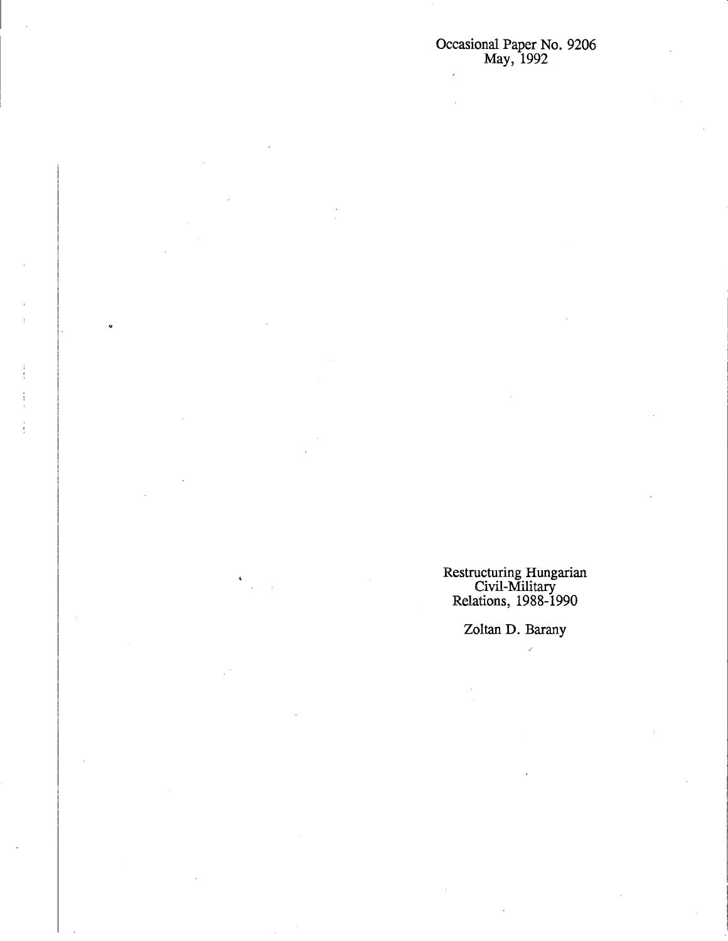Restructuring Hungarian Civil-Military Relations, 1988-1990

Zoltan D. Barany

 $\mathcal{L}$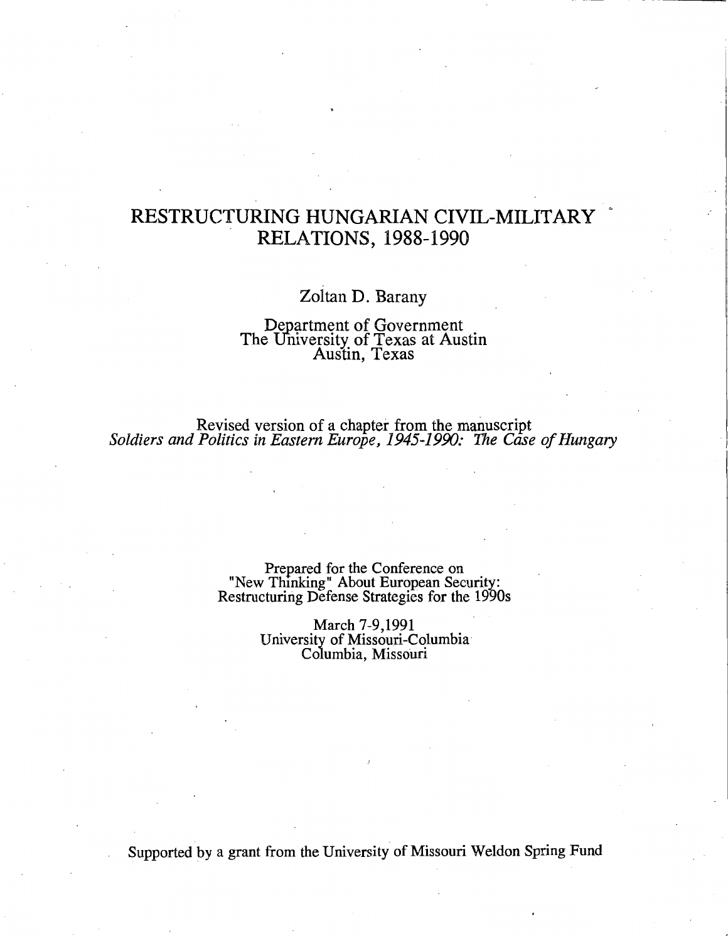## RESTRUCTURING HUNGARIAN CIVIL-MILITARY RELATIONS, 1988-1990

## Zoltan D. Barany

## Department of Government The University of Texas at Austin Austin, Texas

Revised version of a chapter from the manuscript *Soldiers and Politics in Eastern Europe, 1945-1990: The Case of Hungary* 

#### Prepared for the Conference on "New Thinking" About European Security: Restructuring Defense Strategies for the 1990s

March 7-9,1991 University of Missouri-Columbia Columbia, Missouri

Supported by a grant from the University of Missouri Weldon Spring Fund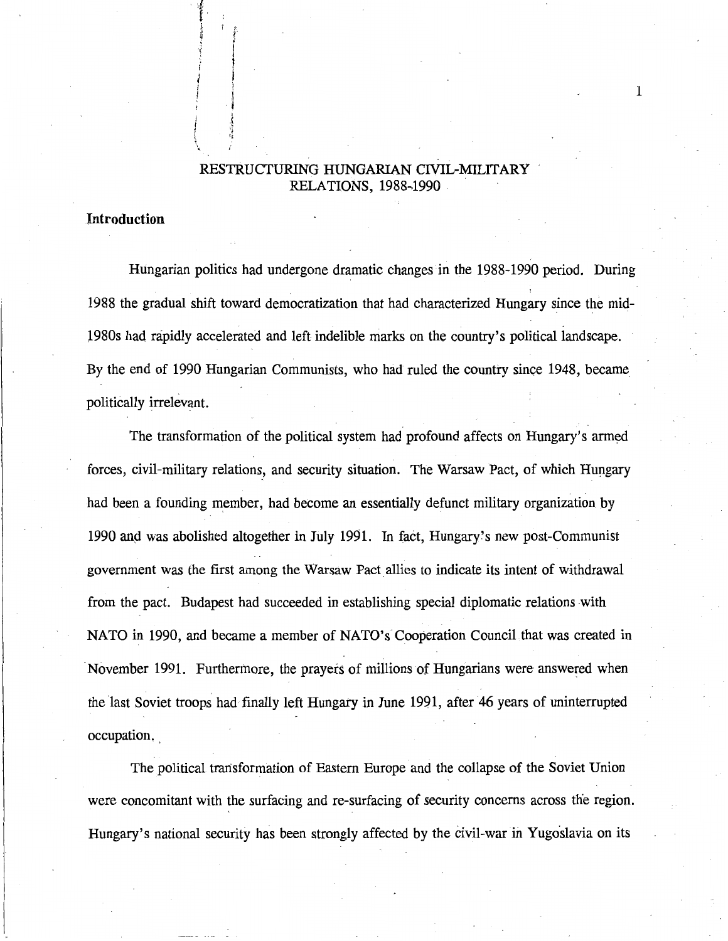## RESTRUCTURING HUNGARIAN CIVIL-MILITARY RELATIONS, 1988~1990

1

## **Introduction**

! i. *I* 

Hungarian politics had undergone dramatic changes in the 1988-1990 period. During 1988 the gradual shift toward democratization that had characterized Hungary since the mid-1980s had rapidly accelerated and left indelible marks on the country's political landscape. By the end of 1990 Hungarian Communists, who had ruled the country since 1948, became politically irrelevant.

The transformation of the political system had profound affects on Hungary's armed forces, civil-military relations, and security situation. The Warsaw Pact, of which Hungary had been a founding member, had become an essentially defunct military organization by 1990 and was abolished altogether in July 1991. In fact, Hungary's new post-Communist government was the first among the Warsaw Pact\_allies to indicate its intent of withdrawal from the pact. Budapest had succeeded in establishing special diplomatic relations with NATO in 1990, and became a member of NATO's Cooperation Council that was created in -November 1991. Furthermore, the prayers of millions of Hungarians were answered when the last Soviet troops had finally left Hungary in June 1991, after 46 years of uninterrupted occupation.

The political transformation of Eastern Europe and the collapse of the Soviet Union were concomitant with the surfacing and re-surfacing of security concerns across the region. Hungary's national security has been strongly affected by the civil-war in Yugoslavia on its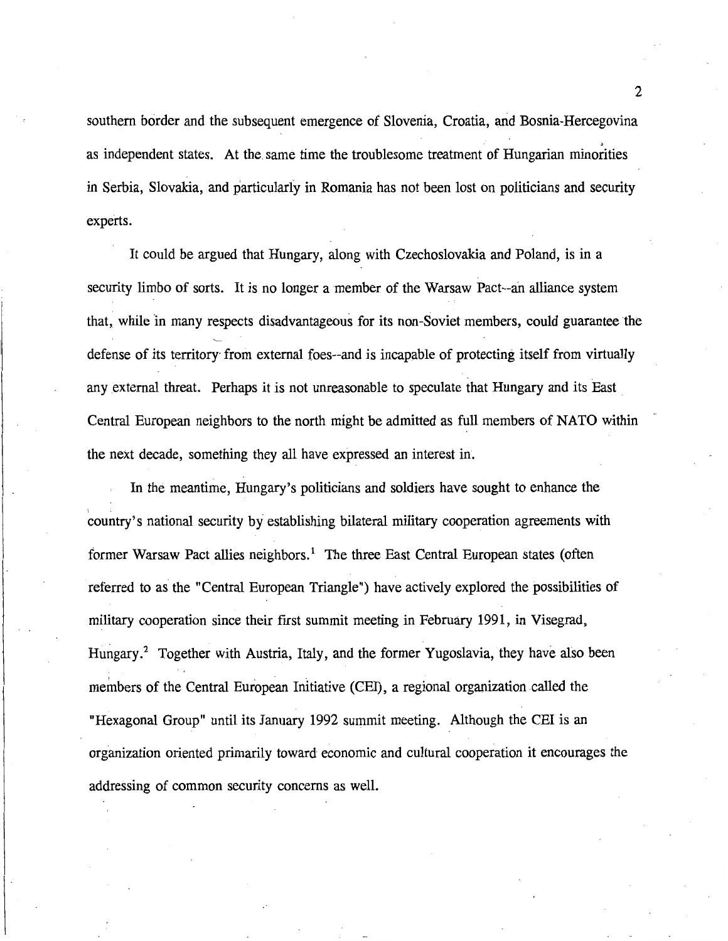southern border and the subsequent emergence of Slovenia, Croatia, and Bosnia-Hercegovina as independent states. At the same time the troublesome treatment of Hungarian minorities in Serbia, Slovakia, and particularly in Romania has not been lost on politicians and security experts.

It could be argued that Hungary, along with Czechoslovakia and Poland, is in a security limbo of sorts. It is no longer a member of the Warsaw Pact--an alliance system that, while in many respects disadvantageous for its non-Soviet members, could guarantee the defense of its territory· from external foes--and is incapable of protecting itself from virtually any external threat. Perhaps it is not unreasonable to speculate that Hungary and its East Central European neighbors to the north might be admitted as full members of NATO within the next decade, something they all have expressed an interest in.

In the meantime, Hungary's politicians and soldiers have sought to enhance the country's national security by establishing bilateral military cooperation agreements with former Warsaw Pact allies neighbors.<sup>1</sup> The three East Central European states (often referred to as the "Central European Triangle") have actively explored the possibilities of military cooperation since their first summit meeting in February 1991, in Visegrad, Hungary.<sup>2</sup> Together with Austria, Italy, and the former Yugoslavia, they have also been members of the Central European Initiative (CEI), a regional organization called the "Hexagonal Group" until its January 1992 summit meeting. Although the CEI is an organization oriented primarily toward economic and cultural cooperation it encourages the addressing of common security concerns as well.

2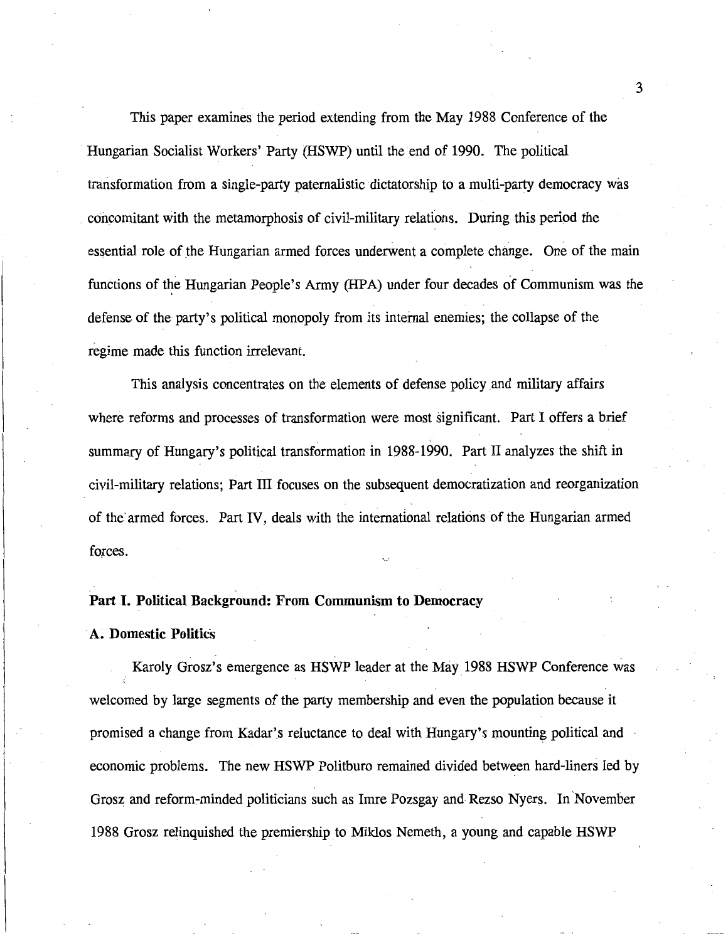This paper examines the period extending from the May 1988 Conference of the Hungarian Socialist Workers' Party (HSWP) until the end of 1990. The political transformation from a single-party paternalistic dictatorship to a multi-party democracy was . concomitant with the metamorphosis of civil-military relations. During this period the essential role of the Hungarian armed forces underwent a complete change. One of the main functions of the Hungarian People's Army (HPA) under four decades of Communism was the defense of the party's political monopoly from its internal enemies; the collapse of the regime made this function irrelevant.

This analysis concentrates on the elements of defense policy and military affairs where reforms and processes of transformation were most significant. Part I offers a brief summary of Hungary's political transformation in 1988-1990. Part II analyzes the shift in civil-military relations; Part III focuses on the subsequent democratization and reorganization of the armed forces. Part IV, deals with the international relations of the Hungarian armed forces.

#### Part I. **Political Background: From Communism to Democracy**

#### · **A. Domestic Politics**

Karoly Grosz's emergence as HSWP leader at the May 1988 HSWP Conference was welcomed by large segments of the party membership and even the population because it promised a change from Kadar's reluctance to deal with Hungary's mounting political and economic problems. The new HSWP Politburo remained divided between hard-liners led by Grosz and reform:-minded politicians such as Imre Pozsgay and Rezso Nyers. In 'November 1988 Grosz relinquished the premiership to Miklos Nemeth, a young and capable HSWP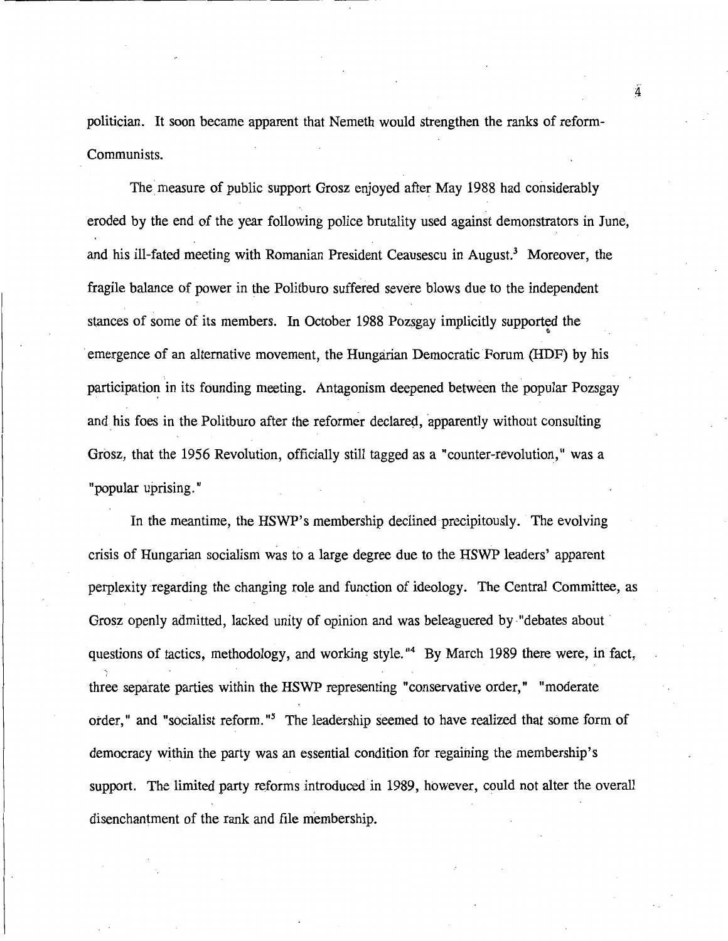politician. It soon became apparent that Nemeth would strengthen the ranks of reform-Communists.

The measure of public support Grosz enjoyed after May 1988 had considerably eroded by the end of the year following police brutality used against demonstrators in June, and his ill-fated meeting with Romanian President Ceausescu in August.<sup>3</sup> Moreover, the fragile balance of power in the Politburo suffered severe blows due to the independent stances of some of its members. In October 1988 Pozsgay implicitly supported the "' emergence of an alternative movement, the Hungarian Democratic Forum (HDF) by his participation in its founding meeting. Antagonism deepened between the popular Pozsgay and his foes in the Politburo after the reformer declared, apparently without consulting Grosz, that the 1956 Revolution, officially still tagged as a "counter-revolution," was a "popular uprising."

In the meantime, the HSWP's membership declined precipitously. The evolving crisis of Hungarian socialism was to a large degree due to the HSWP leaders' apparent perplexity regarding the changing role and function of ideology. The Central Committee, as Grosz openly admitted, lacked unity of opinion and was beleaguered by "debates about· questions of tactics, methodology, and working style.<sup>"4</sup> By March 1989 there were, in fact, three separate parties within the HSWP representing "conservative order," "moderate order," and "socialist reform."<sup>5</sup> The leadership seemed to have realized that some form of democracy within the party was an essential condition for regaining the membership's support. The limited party reforms introduced in 1989, however, could not alter the overall disenchantment of the rank and file membership.

4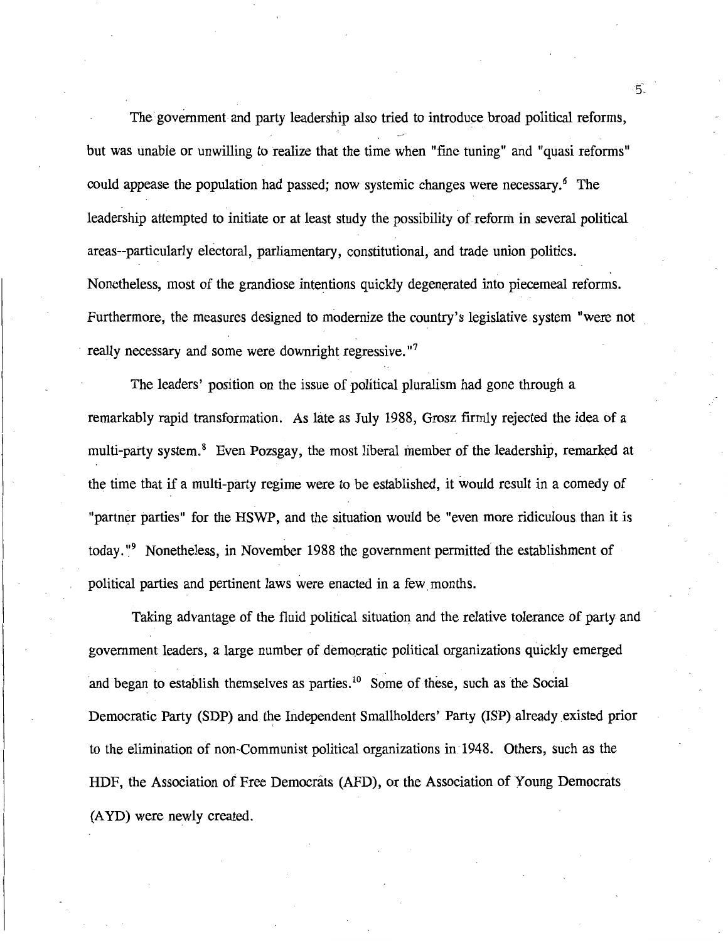The. government and party leadership also tried to introduce broad political reforms, but was unable or unwilling to realize that the time when "fine tuning" and "quasi reforms" could appease the population had passed; now systemic changes were necessary.<sup>6</sup> The leadership attempted to initiate or at least study the possibility of reform in several political areas--particularly electoral, parliamentary, constitutional, and trade union politics. Nonetheless, most of the grandiose intentions quickly degenerated into piecemeal reforms. Furthermore, the measures designed to modernize the country's legislative system "were not really necessary and some were downright regressive."<sup>7</sup>

The leaders' position on the issue of political pluralism had gone through a remarkably rapid transformation. As late as July 1988, Grosz firmly rejected the idea of a multi-party system.<sup>8</sup> Even Pozsgay, the most liberal member of the leadership, remarked at the time that if a multi-party regime were to be established, it would result in a comedy of "partner parties" for the HSWP, and the situation would be "even more ridiculous than it is today. "<sup>9</sup> Nonetheless, in November 1988 the government permitted the establishment of political parties and pertinent laws were enacted in a few. months.

Taking advantage of the fluid political situation and the relative tolerance of party and government leaders, a large number of democratic political organizations quickly emerged and began to establish themselves as parties.<sup>10</sup> Some of these, such as the Social Democratic Party (SDP) and the Independent Smallholders' Party (ISP) already \_existed prior to the elimination of non-Communist political organizations in 1948. Others, such as the HDF, the Association of Free Democrats (AFD), or the Association of Young Democrats (AYD) were newly created.

- 5.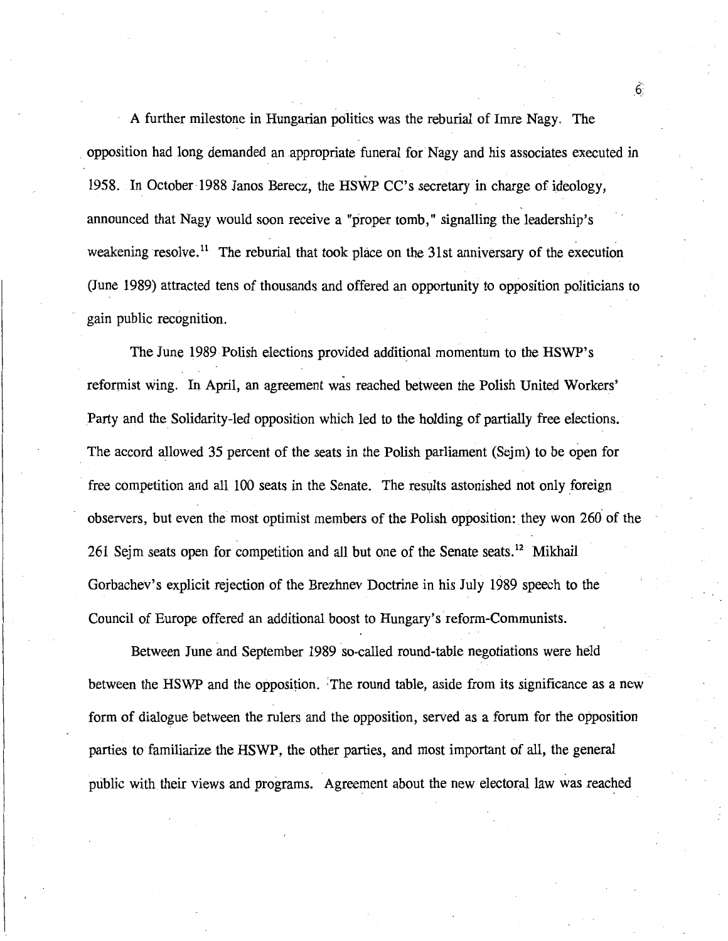A further milestone in Hungarian politics was the reburial of Imre Nagy. The . opposition had long demanded an appropriate funeral for Nagy and his associates executed in 1958. In October 1988 Janos Berecz, the HSWP CC's secretary in charge of ideology, announced that Nagy would soon receive a "proper tomb," signalling the leadership's weakening resolve.<sup>11</sup> The reburial that took place on the 31st anniversary of the execution (June 1989) attracted tens of thousands and offered an opportunity to opposition politicians to gain public recognition.

The June 1989 Polish elections provided additional momentum to the HSWP's reformist wing. In April, an agreement was reached between the Polish United Workers' Party and the Solidarity-led opposition which led to the holding of partially free elections. The accord allowed 35 percent of the seats in the Polish parliament (Sejm) to be open for free competition and all 100 seats in the Senate. The results astonished not only foreign observers, but even the most optimist members of the Polish opposition:. they won 260 of the 261 Sejm seats open for competition and all but one of the Senate seats.<sup>12</sup> Mikhail Gorbachev's explicit rejection of the Brezhnev Doctrine in his July 1989 speech to the Council of Europe offered an additional boost to Hungary's reform-Communists.

Between June and September 1989 so-called round-table negotiations were held between the HSWP and the opposition. The round table, aside from its significance as a new form of dialogue between the rulers and the opposition, served as a forum for the opposition parties to familiarize the HSWP, the other parties, and most important of all, the general public with their views and programs. Agreement about the new electoral law was reached

 $6^{\circ}$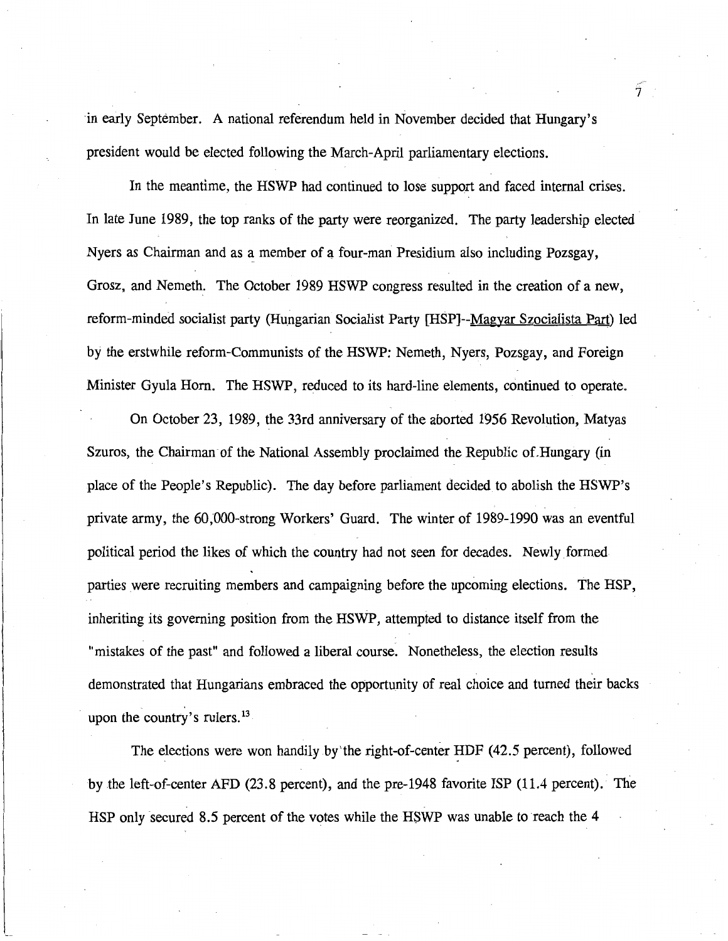in early September. A national referendum held in November decided that Hungary's president would be elected following the March-April parliamentary elections.

In the meantime, the HSWP had continued to lose support and faced internal crises. In late June 1989, the top ranks of the party were reorganized. The party leadership elected Nyers as Chairman and as a member of a four-man Presidium also including Pozsgay, Grosz, and Nemeth.. The October 1989 HSWP congress resulted in the creation of a new, reform-minded socialist party (Hungarian Socialist Party [HSP]--Magyar Szocialista Part) led by the erstwhile reform-Communists of the HSWP: Nemeth, Nyers, Pozsgay, and Foreign Minister Gyula Horn. The HSWP, reduced to its hard-line elements, continued to operate.

On October 23, 1989, the 33rd anniversary of the aborted 1956 Revolution, Matyas Szuros, the Chairman of the National Assembly proclaimed the Republic of .Hungary (in place of the People's Republic). The day before parliament decided to abolish the HSWP's private army, the 60,000-strong Workers' Guard. The winter of 1989-1990 was an eventful political period the likes of which the country had not seen for decades. Newly formed parties were recruiting members and campaigning before the upcoming elections. The HSP, inheriting its governing position from the HSWP, attempted to distance itself from the "mistakes of the past" and followed a liberal course. Nonetheless, the election results demonstrated that Hungarians embraced the opportunity of real choice and turned their backs upon the country's rulers. $^{13}$ .

The elections were won handily by the right-of-center HDF (42.5 percent), followed by the left-of-center AFD (23.8 percent), and the pre-1948 favorite ISP (11.4 percent). The HSP only secured 8.5 percent of the votes while the HSWP was unable to reach the 4

 $\tilde{7}$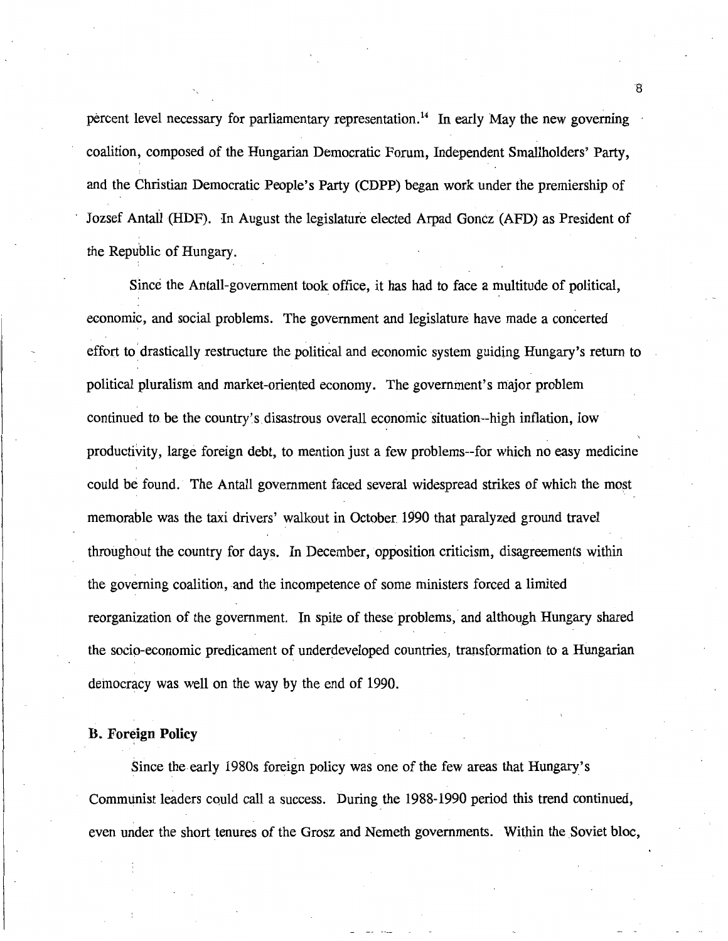percent level necessary for parliamentary representation. 14 In early May the new governing coalition, composed of the Hungarian Democratic Forum, Independent Smallholders' Party, and the Christian Democratic People's Party (CDPP) began work under the premiership of Jozsef Antall (HDF). In August the legislature elected Arpad Gonez (AFD) as President of the Republic of Hungary.

Since the Antall-government took office, it has had to face a multitude of political, economic, and social problems. The government and legislature have made a concerted effort to drastically restructure the political and economic system guiding Hungary's return to political pluralism and market-oriented economy. The government's major problem continued to be the country's disastrous overall economic situation--high inflation, low productivity, large foreign debt, to mention just a few problems--for which no easy medicine could be found. The Antall government faced several widespread strikes of which the most memorable was the taxi drivers' walkout in October. 1990 that paralyzed ground travel throughout the country for days. In December, opposition criticism, disagreements within the governing coalition, and the incompetence of some ministers forced a limited reorganization of the government. In spite of these problems, and although Hungary shared the socio-economic predicament of underdeveloped countries, transformation to a Hungarian democracy was well on the way by the end of 1990.

## **B. Foreign Policy**

Since the early 1980s foreign policy was one of the few areas that Hungary's Communist leaders could call a success. During the 1988-1990 period this trend continued, even under the short tenures of the Grosz and Nemeth governments. Within the Soviet bloc,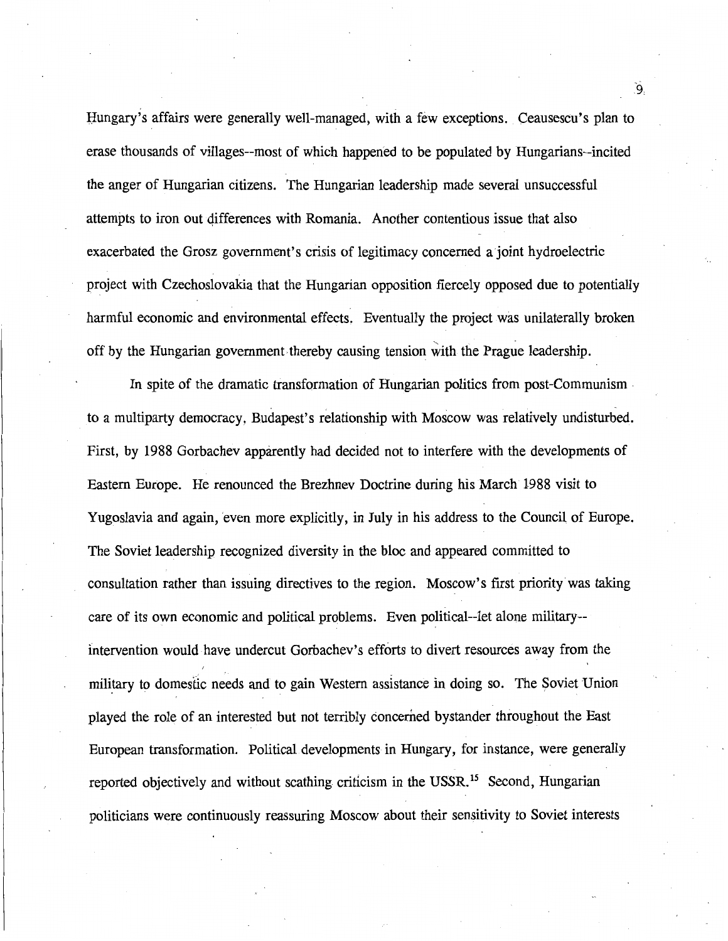Hungary's affairs were generally well-managed, with a few exceptions. Ceausescu's plan to erase thousands of villages--most of which happened to be populated by Hungarians--incited the anger of Hungarian citizens. The Hungarian leadership made several unsuccessful attempts to iron out qifferences with Romania. Another contentious issue that also exacerbated the Grosz government's crisis of legitimacy concerned a joint hydroelectric project with Czechoslovakia that the Hungarian opposition fiercely opposed due to potentially harmful economic and environmental effects. Eventually the project was unilaterally broken off by the Hungarian government thereby causing tension with the Prague leadership.

In spite of the dramatic transformation of Hungarian politics from post-Communism. to a multiparty democracy, Budapest's relationship with Moscow was relatively undisturbed. First, by 1988 Gorbachev apparently had decided not to interfere with the developments of Eastern Europe. He renounced the Brezhnev Doctrine during his March 1988 visit to Yugoslavia and again, even more explicitly, in July in his address to the Council of Europe. The Soviet leadership recognized diversity in the bloc and appeared committed to consultation rather than issuing directives to the region. Moscow's first priority was taking care of its own economic and political problems. Even political--let alone military- intervention would have undercut Gorbachev's efforts to divert resources away from the military to domestic needs and to gain Western assistance in doing so. The Soviet Union played the role of an interested but not terribly concerned bystander throughout the East European transformation. Political developments in Hungary, for instance, were generally reported objectively and without scathing criticism in the USSR. 15 Second, Hungarian politicians were continuously reassuring Moscow about their sensitivity to Soviet interests

'9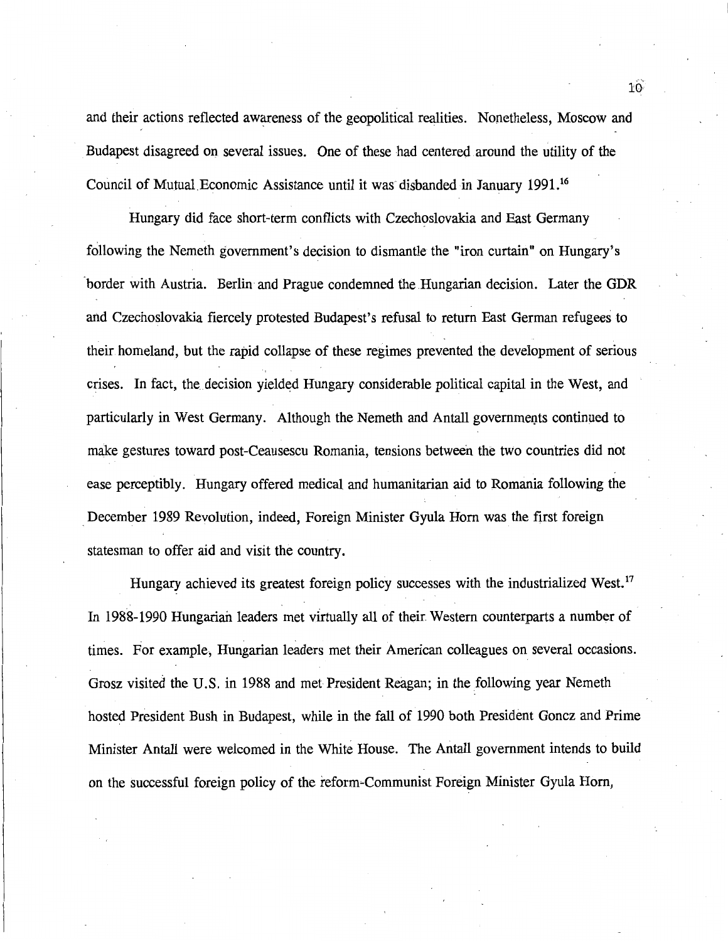and their actions reflected awareness of the geopolitical realities. Nonetheless, Moscow and Budapest disagreed on several issues. One of these had centered around the utility of the Council of Mutual. Economic Assistance until it was- disbanded in January 1991. 16

Hungary did face short-term conflicts with Czechoslovakia and East Germany following the Nemeth government's decision to dismantle the "iron curtain" on Hungary's border with Austria. Berlin and Prague condemned the Hungarian decision. Later the GDR and Czechoslovakia fiercely protested Budapest's refusal to return East German refugees to their homeland, but the rapid collapse of these regimes prevented the development of serious crises. In fact, the decision yielded Hungary considerable political capital in the West, and particularly in West Germany. Although the Nemeth and Antall governments continued to make gestures toward post-Ceausescu Romania, tensions between the two countries did not ease perceptibly. Hungary offered medical and humanitarian aid to Romania following the December 1989 Revolution, indeed, Foreign Minister Gyula Horn was the first foreign statesman to offer aid and visit the country.

Hungary achieved its greatest foreign policy successes with the industrialized West.<sup>17</sup> In 1988-1990 Hungarian leaders met virtually all of their Western counterparts a number of times. For example., Hungarian leaders met their American colleagues on several occasions. Grosz visited the U.S. in 1988 and met President Reagan; in the following year Nemeth hosted President Bush in Budapest, while in the fall of 1990 both President Gonez and Prime Minister Antall were welcomed in the White House. The Antall government intends to build on the successful foreign policy of the reform-Communist Foreign Minister Gyula Horn,

 $10<sup>1</sup>$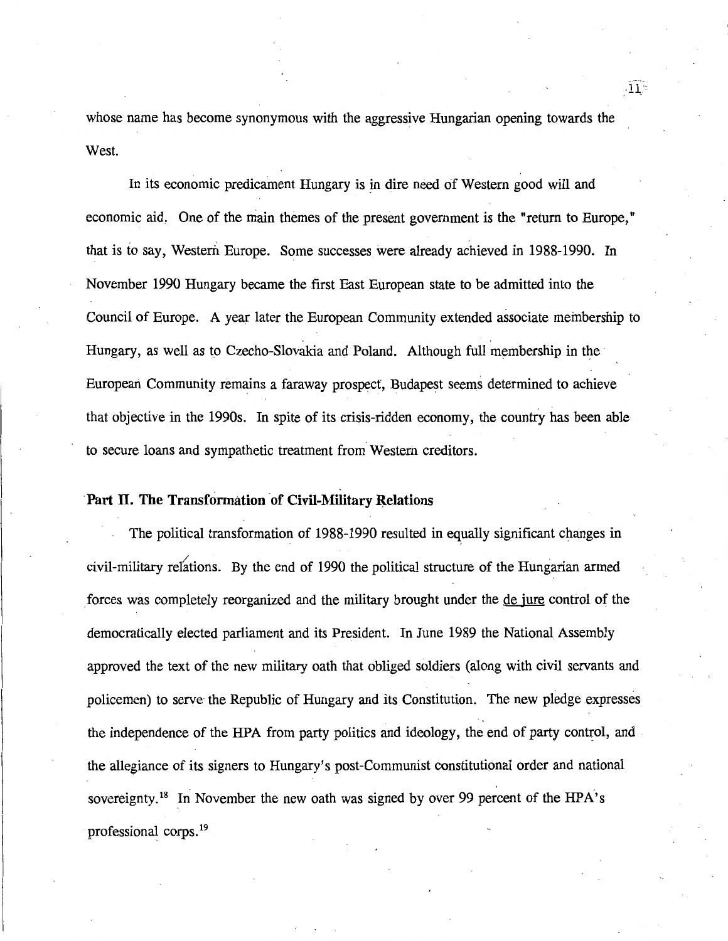whose name has become synonymous with the aggressive Hungarian opening towards the West.

In its economic predicament Hungary is in dire need of Western good will and economic aid, One of the main themes of the present government is the "return to Europe," that is to say, Western Europe. Some successes were already achieved in 1988-1990. In November 1990 Hungary became the first East European state to be admitted into the Council of Europe. A year later the European Community extended associate membership to . , Hungary, as well as to Czecho-Slovakia and Poland. Although full membership in the European Community remains a faraway prospect, Budapest seems determined to achieve that objective in the 1990s. In spite of its crisis-ridden economy, the country has been able to secure loans and sympathetic treatment from Western creditors.

## **Part II. The Transformation of Civil-Military Relations**

The political transformation of 1988-1990 resulted in equally significant changes in civil-military relations. By the end of 1990 the political structure of the Hungarian armed forces was completely reorganized and the military brought under the de jure control of the democratically elected parliament and its President. In June 1989 the National Assembly approved the text of the new military oath that obliged soldiers (along with civil servants and policemen) to serve the Republic of Hungary and its Constitution. The new pledge expresses the independence of the HPA from party politics and ideology, the end of party control, and the allegiance of its signers to Hungary's post-Communist constitutional order and national sovereignty.<sup>18</sup> In November the new oath was signed by over 99 percent of the HPA's professional corps.<sup>19</sup>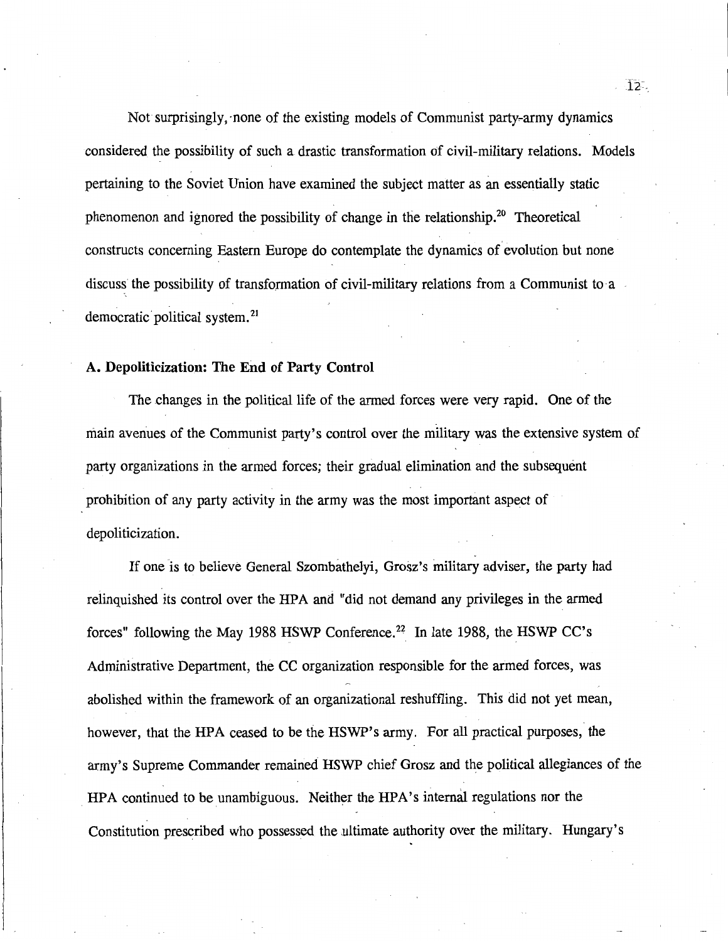Not surprisingly, none of the existing models of Communist party-army dynamics considered the possibility of such a drastic transformation of civil-military relations. Models pertaining to the Soviet Union have examined the subject matter as an essentially static phenomenon and ignored the possibility of change in the relationship. 20 Theoretical constructs concerning Eastern Europe do contemplate the dynamics of evolution but none discuss the possibility of transformation of civil-military relations from a Communist to a democratic political system.<sup>21</sup>

## **A. Depoliticization: The End of Party Control**

The changes in the political life of the armed forces were very rapid. One of the main avenues of the Communist party's control over the military was the extensive system of party organizations in the armed forces; their gradual elimination and the subsequent prohibition of any party activity in the army was the most important aspect of depoliticization.

If one is to believe General Szombathelyi, Grosz's military adviser, the party had relinquished its control over the HPA and "did not demand any privileges in the armed forces" following the May 1988 HSWP Conference. 22 In late 1988, the HSWP CC's Administrative Department, the CC organization responsible for the armed forces, was abolished within the framework of an organizational reshuffling. This did not yet mean, however, that the HPA ceased to be the HSWP's army. For all practical purposes, the army's Supreme Commander remained HSWP chief Grosz and the political allegiances of the . HPA continued to be unambiguous. Neither the HPA's internal regulations nor the Constitution prescribed who possessed the ultimate authority over the military. Hungary's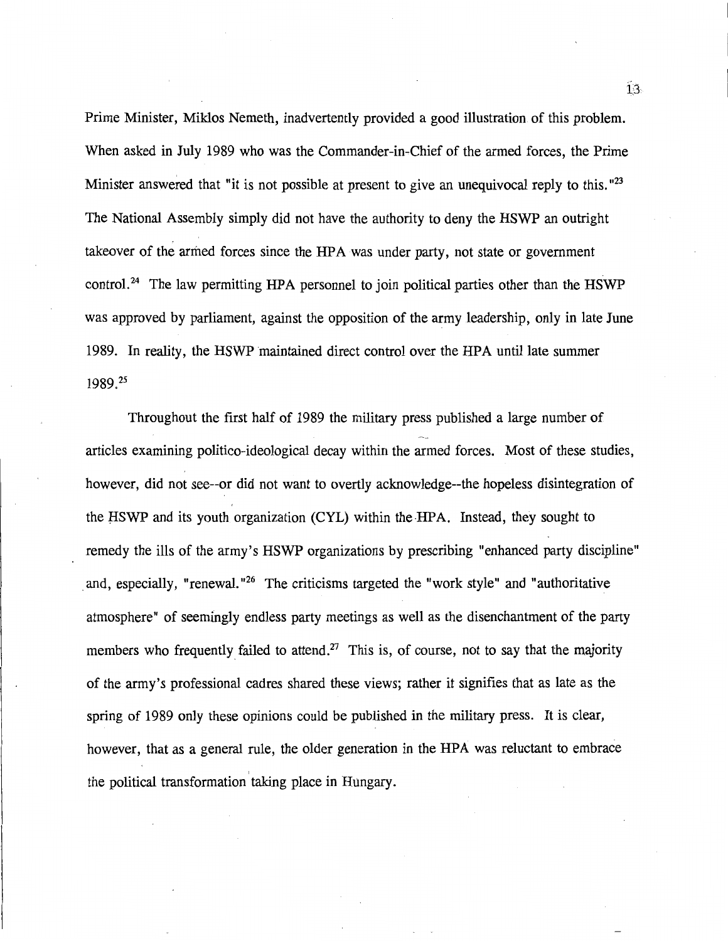Prime Minister, Miklos Nemeth, inadvertently provided a good illustration of this problem. When asked in July 1989 who was the Commander-in-Chief of the armed forces, the Prime Minister answered that "it is not possible at present to give an unequivocal reply to this."<sup>23</sup> The National Assembly simply did not have the authority to deny the HSWP an outright takeover of the armed forces since the HPA was under party, not state or government control.<sup>24</sup> The law permitting HPA personnel to join political parties other than the HSWP was approved by parliament, against the opposition of the army leadership, only in late June 1989. In reality, the HSWP maintained direct control over the HPA until late summer 1989. <sup>25</sup>

Throughout the first half of 1989 the military press published a large number of articles examining politico-ideological decay within the armed forces. Most of these studies, however, did not see--or did not want to overtly acknowledge--the hopeless disintegration of the JISWP and its youth organization (CYL) within the-HPA. Instead, they sought to remedy the ills of the army's HSWP organizations by prescribing "enhanced party discipline" and, especially, "renewal."<sup>26</sup> The criticisms targeted the "work style" and "authoritative atmosphere" of seemingly endless party meetings as well as the disenchantment of the party members who frequently failed to attend.<sup>27</sup> This is, of course, not to say that the majority of the army's professional cadres shared these views; rather it signifies that as late as the spring of 1989 only these opinions could be published in the military press. It is clear, however, that as a general rule, the older generation in the HPA was reluctant to embrace ' the political transformation taking place in Hungary.

13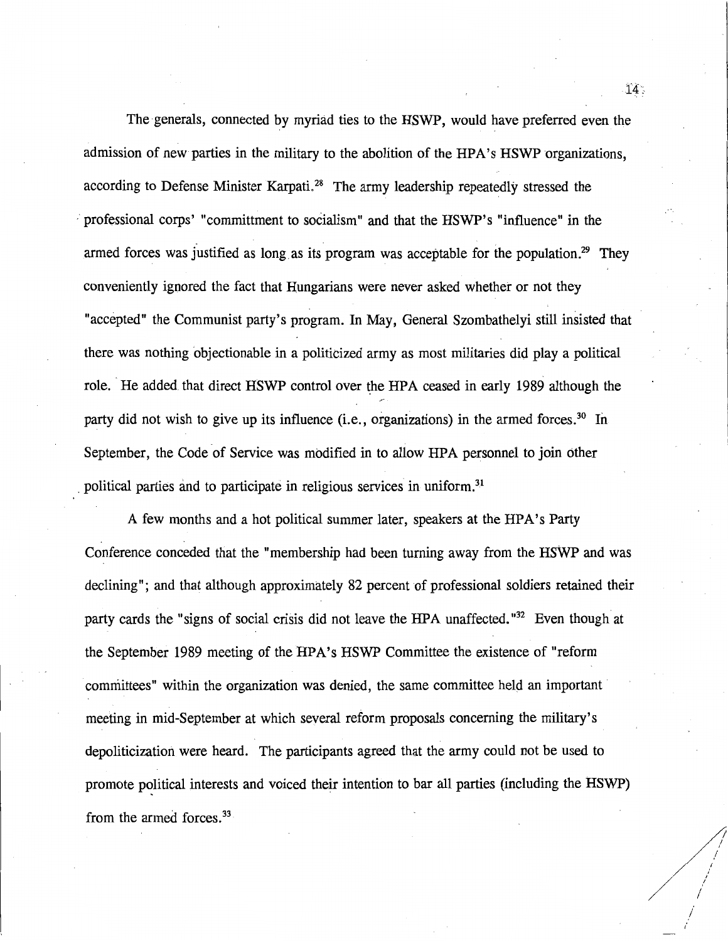The generals, connected by myriad ties to the HSWP, would have preferred even the admission of new parties in the military to the abolition of the HPA's HSWP organizations, according to Defense Minister Karpati. 28 The army leadership repeatedly stressed the 'professional corps' "committment to socialism" and that the HSWP's "influence" in the armed forces was justified as long as its program was acceptable for the population.<sup>29</sup> They conveniently ignored the fact that Hungarians were never asked whether or not they "accepted" the Communist party's program. In May, General Szombathelyi still insisted that there was nothing objectionable in a politicized army as most militaries did play a political role. He added that direct HSWP control over the HPA ceased in early 1989 although the party did not wish to give up its influence (i.e., organizations) in the armed forces.<sup>30</sup> In September, the Code of Service was modified in to allow HPA personnel to join other political parties and to participate in religious services in uniform.<sup>31</sup>

A few months and a hot political summer later, speakers at the HPA's Party Conference conceded that the "membership had been turning away from the HSWP and was declining"; and that although approximately 82 percent of professional soldiers retained their party cards the "signs of social crisis did not leave the HPA unaffected." $32$  Even though at the September 1989 meeting of the HPA's HSWP Committee the existence of "reform committees" within the organization was denied, the same committee held an important· meeting in mid-September at which several reform proposals concerning the military's depoliticization were heard. The participants agreed that the army could not be used to promote political interests and voiced their intention to bar all parties (including the **HSWP)**  from the armed forces. <sup>33</sup>

 $14:$ 

*/* 

/ I

, I

/ / */*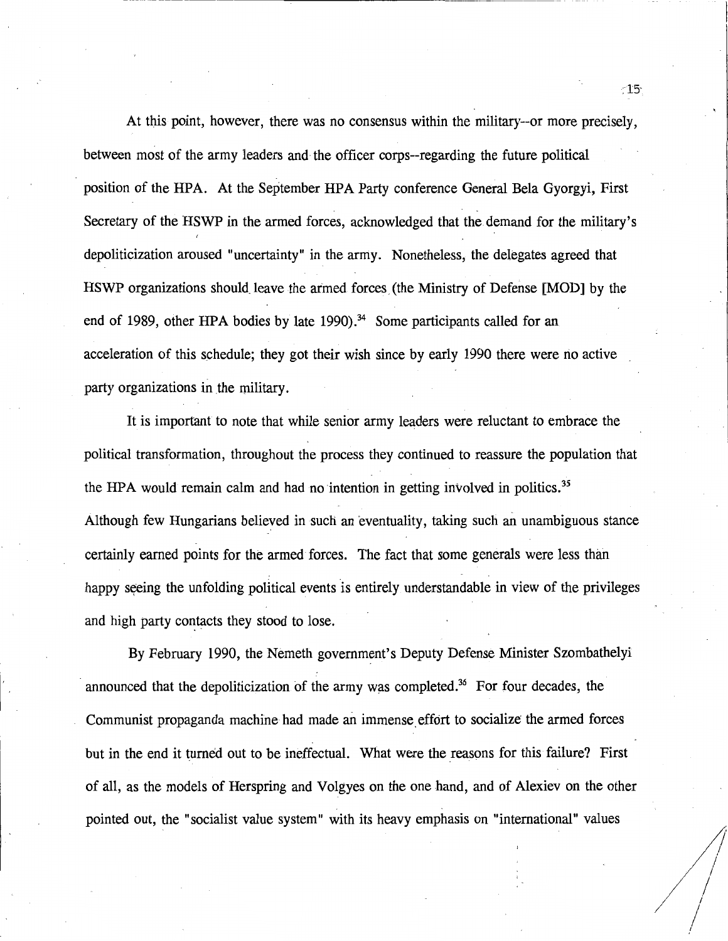At this point, however, there was no consensus within the military--or more precisely, between most of the army leaders and the officer corps--regarding the future political position of the HPA. At the September HPA Party conference General Bela Gyorgyi, First Secretary of the HSWP in the armed forces, acknowledged that the demand for the military's depoliticization aroused "uncertainty" in the army. Nonetheless, the delegates agreed that HSWP organizations should\_ leave the armed forces (the Ministry of Defense [MOD] by the end of 1989, other HPA bodies by late 1990).<sup>34</sup> Some participants called for an acceleration of this schedule; they got their wish since by early 1990 there were no active party organizations in the military.

It is important to note that while senior army leaders were reluctant to embrace the political transformation, throughout the process they continued to reassure the population that the HPA would remain calm and had no intention in getting involved in politics.<sup>35</sup> Although few Hungarians believed in such an eventuality, taking such an unambiguous stance certainly earned points for the armed forces. The fact that some generals were less than happy seeing the unfolding political events is entirely understandable in view of the privileges and high party contacts they stood to lose.

By February 1990, the Nemeth government's Deputy Defense Minister Szombathelyi announced that the depoliticization of the army was completed.<sup>36</sup> For four decades, the Communist propaganda machine had made an immense. effort to socialize the armed forces but in the end it turned out to be ineffectual. What were the reasons for this failure? First of all, as the models of Herspring and Volgyes on the one hand, and of Alexiev on the other pointed out, the "socialist value system" with its heavy emphasis on "international" values

 $-15$ 

 $\Bigg/$ 

*/* 

I */*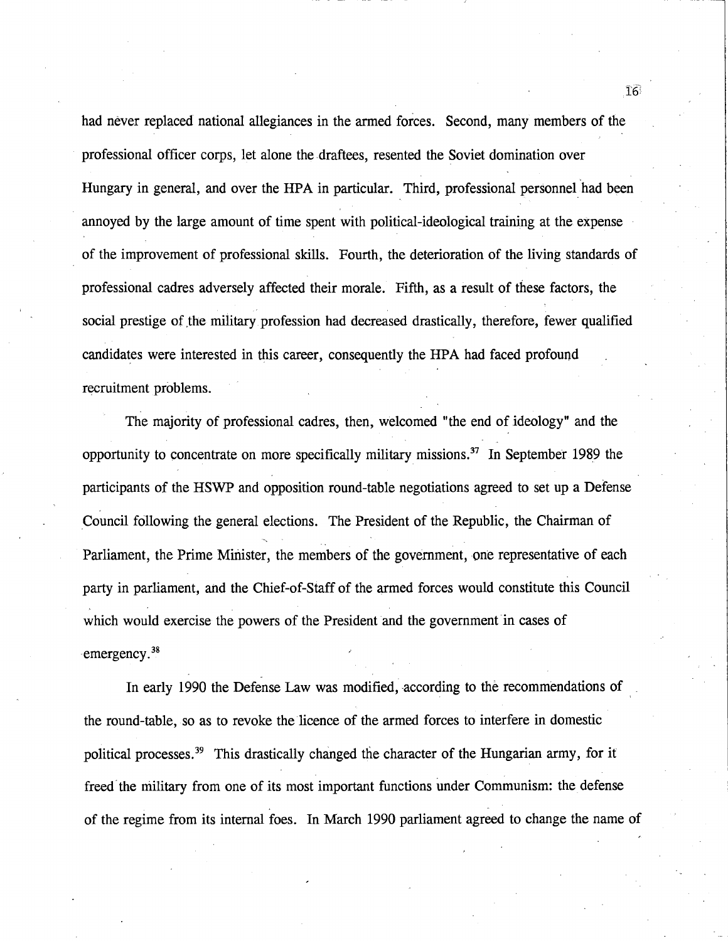had never replaced national allegiances in the armed forces. Second, many members of the professional officer corps, let alone the draftees, resented the Soviet domination over Hungary in general, and over the HPA in particular. Third, professional personnel had been annoyed by the large amount of time spent with political-ideological training at the expense of the improvement of professional skills. Fourth, the deterioration of the living standards of professional cadres adversely affected their morale. Fifth, as a result of these factors, the social prestige of the military profession had decreased drastically, therefore, fewer qualified candidates were interested in this career, consequently the HPA had faced profound recruitment problems.

The majority of professional cadres, then, welcomed "the end of ideology" and the opportunity to concentrate on more specifically military missions. 37 In September 1989 the participants of the HSWP and opposition round-table negotiations agreed to set up a Defense Council following the general elections. The President of the Republic, the Chairman of Parliament, the Prime Minister, the members of the government, one representative of each party in parliament, and the Chief-of-Staff of the armed forces would constitute this Council which would exercise the powers of the President and the government in cases of emergency.<sup>38</sup>

In early 1990 the Defense Law was modified, according to the recommendations of the round-table, so as to revoke the licence of the armed forces to interfere in domestic political processes. 39 This drastically changed the character of the Hungarian army, for it freed the military from one of its most important functions under Communism: the defense of the regime from its internal foes. In March 1990 parliament agreed to change the name of

 $\hat{16}$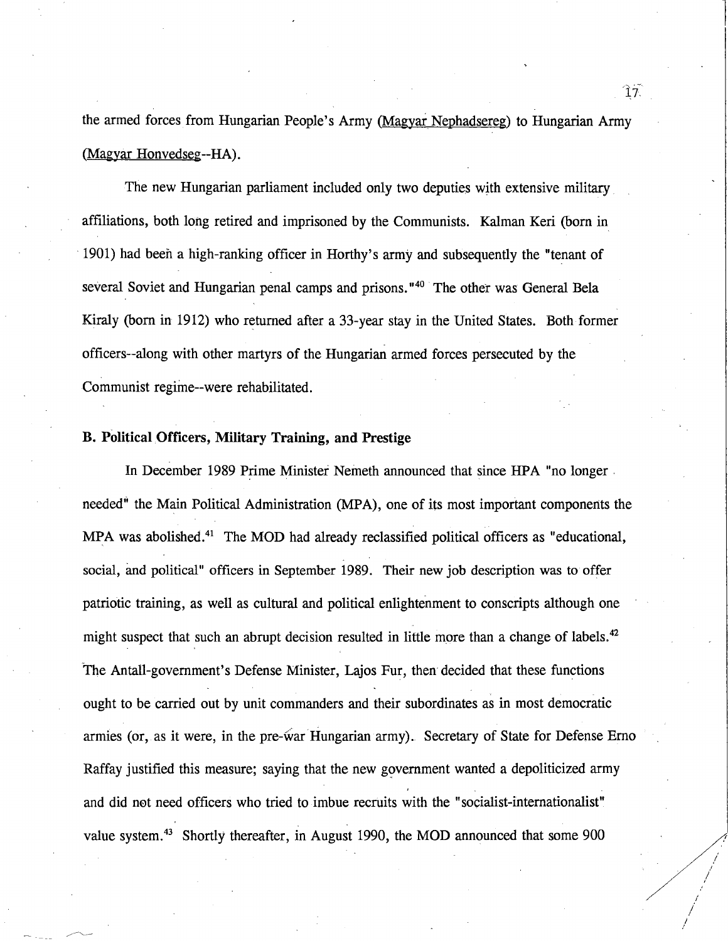the armed forces from Hungarian People's Army (Magyar Nephadsereg) to Hungarian Army (Magyar Honvedseg--HA).

The new Hungarian parliament included only two deputies with extensive military affiliations, both long retired and imprisoned by the Communists. Kalman Keri (born in 1901) had been a high-ranking officer in Horthy's army and subsequently the "tenant of several Soviet and Hungarian penal camps and prisons.<sup>"40</sup> The other was General Bela Kiraly (born in 1912) who returned after a 33-year stay in the United States. Both former officers--along with other martyrs of the Hungarian armed forces persecuted by the Communist regime--were rehabilitated.

## **B. Political Officers, Military Training, and Prestige**

In December 1989 Prime Minister Nemeth announced that since HPA "no longer. needed<sup>\*</sup> the Main Political Administration (MPA), one of its most important components the MPA was abolished.<sup>41</sup> The MOD had already reclassified political officers as "educational, social, and political" officers in September 1989. Their new job description was to offer patriotic training, as well as cultural and political enlightenment to conscripts although one might suspect that such an abrupt decision resulted in little more than a change of labels.<sup>42</sup> The Antall-government's Defense Minister, Lajos Fur, then decided that these functions ought to be carried out by unit commanders and their subordinates as in most democratic armies (or, as it were, in the pre-war Hungarian army). Secretary of State for Defense Erno Raffay justified this measure; saying that the new government wanted a depoliticized army and did not need officers who tried to imbue recruits with the "socialist-internationalist" value system.<sup>43</sup> Shortly thereafter, in August 1990, the MOD announced that some 900

*I*  / */* 

/

*/*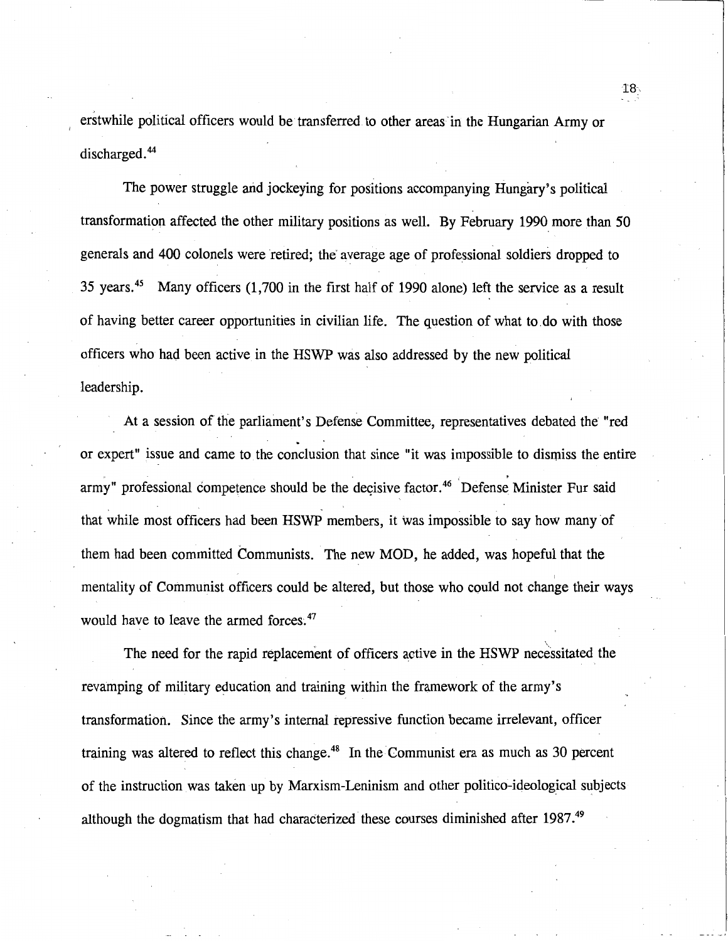erstwhile political officers would be transferred to other areas in the Hungarian Army or discharged. 44

The power struggle and jockeying for positions accompanying Hungary's political transformation affected the other military positions as well. By February 1990\_ more than 50 generals and 400 colonels were retired; the average age of professional soldiers dropped to 35 years. 45 Many officers (1,700 in the first half of 1990 alone) left the service as a result of having better career opportunities in civilian life. The question of what to.do with those officers who had been active in the HSWP was also addressed by the new political leadership.

At a session of the parliament's Defense Committee, representatives debated the "red or expert" issue and came to the conclusion that since "it was impossible to dismiss the entire army" professional competence should be the decisive factor.<sup>46</sup> Defense Minister Fur said that while most officers had been HSWP members, it was impossible to say how many of them had been committed Communists. The new MOD, he added, was hopeful that the mentality of Communist officers could be altered, but those who could not change their ways would have to leave the armed forces.<sup>47</sup>

\ The need for the rapid replacement of officers active in the HSWP necessitated the revamping of military education and training within the framework of the army's transformation. Since the army's internal repressive function became irrelevant, officer training was altered to reflect this change. 48 In the Communist era as much as 30 percent of the instruction was taken up by Marxism-Leninism and other politico-ideological subjects although the dogmatism that had characterized these courses diminished after 1987.49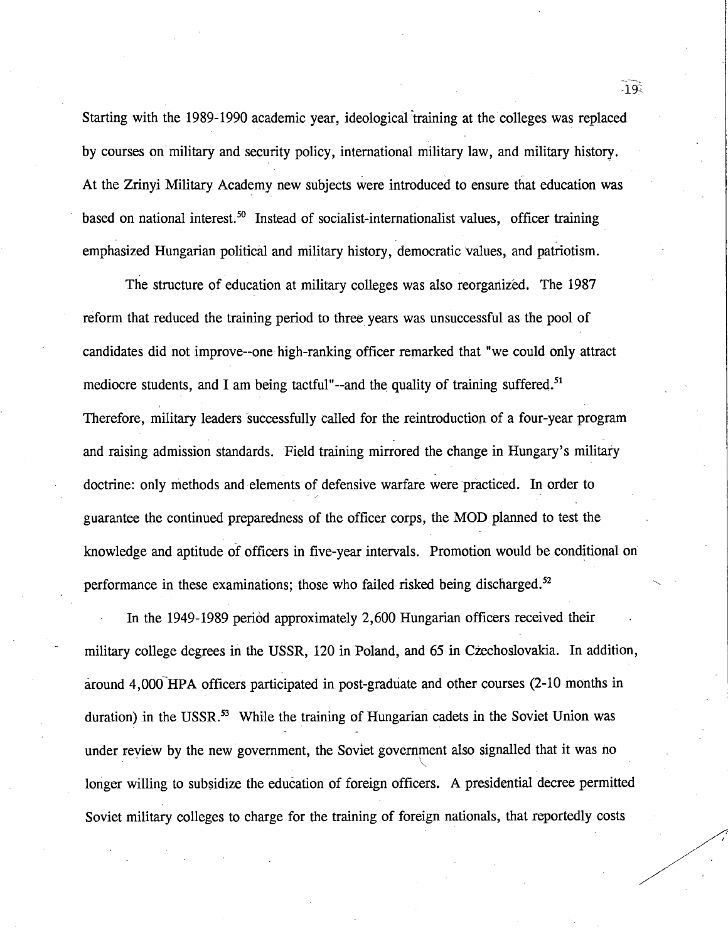Starting with the 1989-1990 academic year, ideological training at the colleges was replaced by courses on military and security policy, international military law, and military history. At the Zrinyi Military Academy new subjects were introduced to ensure that education was based on national interest.<sup>50</sup> Instead of socialist-internationalist values, officer training emphasized Hungarian political and military history, democratic values, and patriotism.

The structure of education at military colleges was also reorganized. The 1987 reform that reduced the training period to three years was unsuccessful as the pool of candidates did not improve--one high-ranking officer remarked that "we could only attract mediocre students, and I am being tactful"--and the quality of training suffered.<sup>51</sup> Therefore, military leaders successfully called for the reintroduction of a four-year program and raising admission standards. Field training mirrored the change in Hungary's military doctrine: only methods and elements of defensive warfare were practiced. In order to guarantee the continued preparedness of the officer corps, the MOD planned to test the knowledge and aptitude of officers in five-year intervals. Promotion would be conditional on performance in these examinations; those who failed risked being discharged.<sup>52</sup>

In the 1949-1989 period approximately 2,600 Hungarian officers received their military college degrees in the USSR, 120 in Poland, and 65 in Czechoslovakia. In addition, around 4,000~HPA officers participated in post-graduate and other courses (2-10 months in duration) in the USSR.<sup>53</sup> While the training of Hungarian cadets in the Soviet Union was under review by the new government, the Soviet government also signalled that it was no longer willing to subsidize the education of foreign officers. A presidential decree permitted Soviet military colleges to charge for the training of foreign nationals, that reportedly costs

 $-19^{\circ}$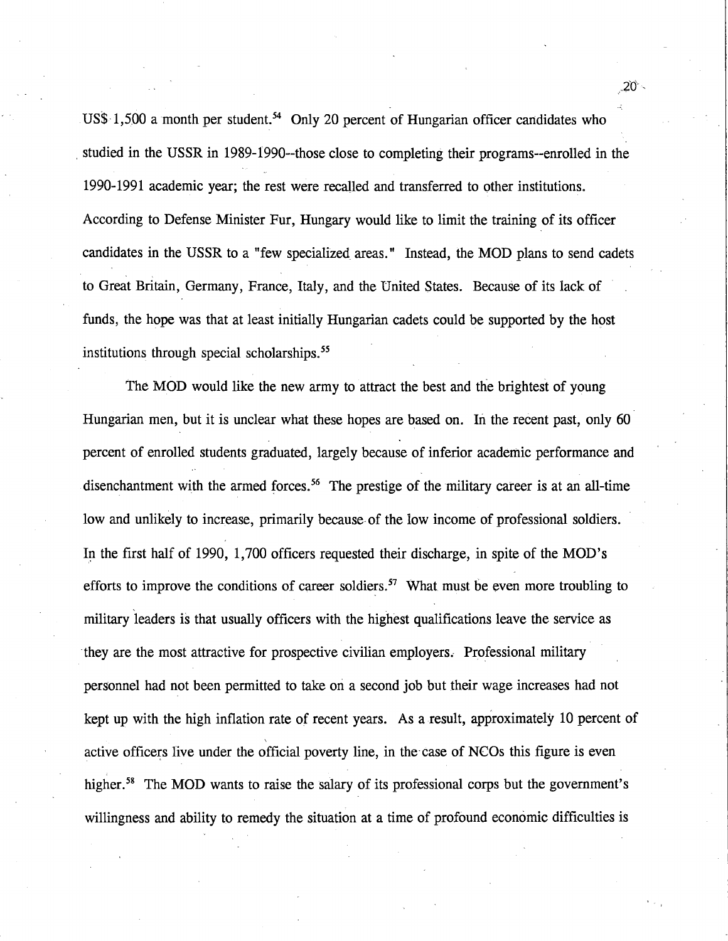US\$ 1,500 a month per student.<sup>54</sup> Only 20 percent of Hungarian officer candidates who . studied in the USSR in 1989-1990--those close to completing their programs--enrolled in the 1990-1991 academic year; the rest were recalled and transferred to other institutions. According to Defense Minister Fur, Hungary would like to limit the training of its officer candidates in the USSR to a "few specialized areas." Instead, the MOD plans to send cadets to Great Britain, Germany, France, Italy, and the United States. Because of its lack of funds, the hope was that at least initially Hungarian cadets could be supported by the host institutions through special scholarships. *<sup>55</sup>*

The MOD would like the new army to attract the best and the brightest of young Hungarian men, but it is unclear what these hopes are based on. In the recent past, only 60 percent of enrolled students graduated, largely because of inferior academic performance and disenchantment with the armed forces.<sup>56</sup> The prestige of the military career is at an all-time low and unlikely to increase, primarily because. of the low income of professional soldiers. In the first half of 1990, 1,700 officers requested their discharge, in spite of the MOD's efforts to improve the conditions of career soldiers.<sup>57</sup> What must be even more troubling to . . military leaders is that usually officers with the highest qualifications leave the service as they are the most attractive for prospective civilian employers. Professional military personnel had not been permitted to take on a second job but their wage increases had not kept up with the high inflation rate of recent years. As a result, approximately 10 percent of active officers live under the official poverty line, in the case of NCOs this figure is even higher.<sup>58</sup> The MOD wants to raise the salary of its professional corps but the government's willingness and ability to remedy the situation at a time of profound economic difficulties is

 $20^{\circ}$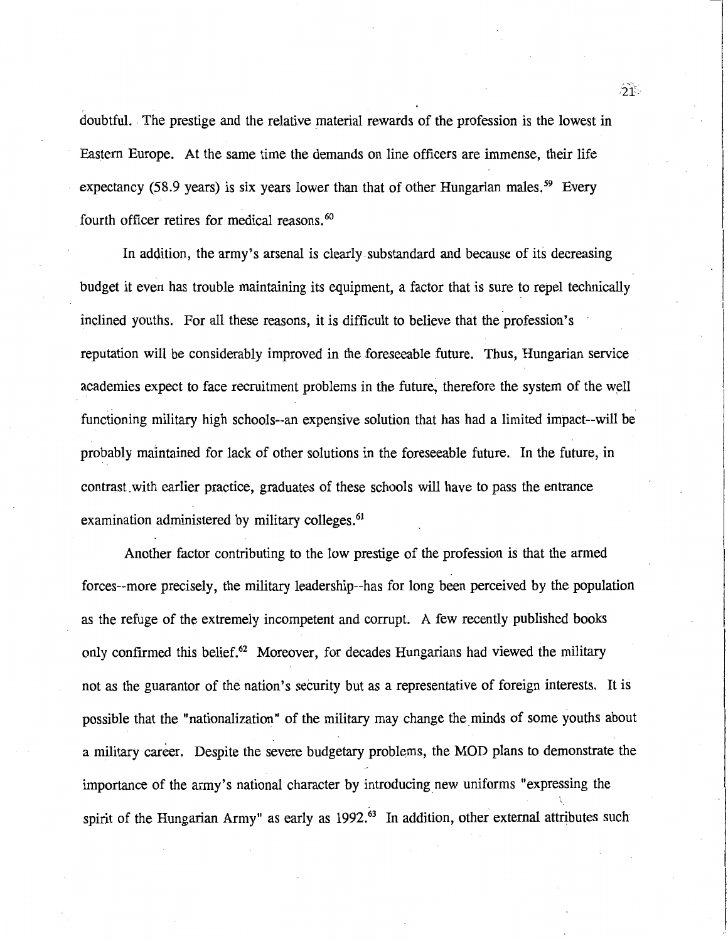doubtful. The prestige and the relative material rewards of the profession is the lowest in Eastern Europe. At the same time the demands on line officers are immense, their life expectancy (58.9 years) is six years lower than that of other Hungarian males.<sup>59</sup> Every fourth officer retires for medical reasons.<sup>60</sup>

In addition, the army's arsenal is clearly substandard and because of its decreasing budget it even has trouble maintaining its equipment, a factor that is sure to repel technically inclined youths. For all these reasons, it is difficult to believe that the profession's reputation will be considerably improved in the foreseeable future. Thus, Hungarian service academies expect to face recruitment problems in the future, therefore the system of the well functioning military high schools--an expensive solution that has had a limited impact--will be probably maintained for lack of other solutions in the foreseeable future. In the future, in contrast.with earlier practice, graduates of these schools will have to pass the entrance examination administered by military colleges.<sup>61</sup>

Another factor contributing to the low prestige of the profession is that the armed forces--more precisely, the military leadership--has for long been perceived by the population as the refuge of the extremely incompetent and corrupt. A few recently published books only confirmed this belief.<sup>62</sup> Moreover, for decades Hungarians had viewed the military not as the guarantor of the nation's security but as a representative of foreign interests. It is possible that the "nationalization" of the military may change the minds of some youths about a military career. Despite the severe budgetary problems, the MOD plans to demonstrate the importance of the army's national character by introducing new uniforms "expressing the  $\overline{\mathcal{L}}$ spirit of the Hungarian Army" as early as  $1992.^{63}$  In addition, other external attributes such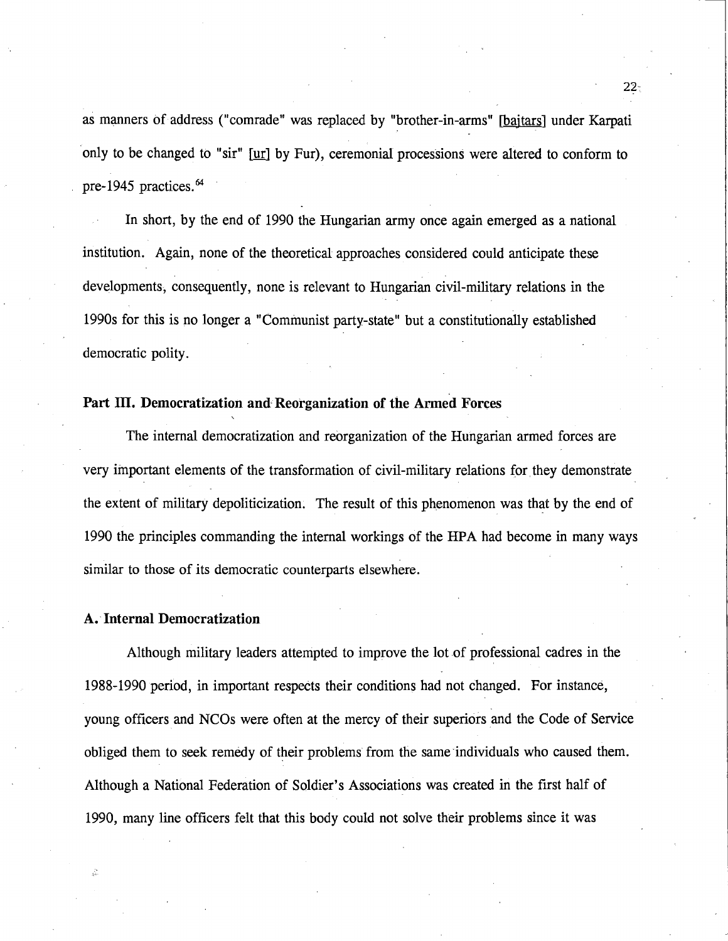as manners of address ("comrade" was replaced by "brother-in-arms" [bajtars] under Karpati only to be changed to "sir" [ur] by Fur), ceremonial processions were altered to conform to pre-1945 practices. 64

In short, by the end of 1990 the Hungarian army once again emerged as a national institution. Again, none of the theoretical approaches considered could anticipate these developments, consequently, none is relevant to Hungarian civil-military relations in the 1990s for this is no longer a "Communist party-state" but a constitutionally established democratic polity.

#### **Part** ID. **Democratization and· Reorganization of the Armed Forces**

The internal democratization and reorganization of the Hungarian armed forces are very important elements of the transformation of civil-military relations for they demonstrate the extent of military depoliticization. The result of this phenomenon was that by the end of 1990 the principles commanding the internal workings of the HPA had become in many ways similar to those of its democratic counterparts elsewhere.

#### **A.· Internal Democratization**

Although military leaders attempted to improve the lot of professional cadres in the 1988-1990 period, in important respects their conditions had not changed. For instance, young officers and NCOs were often at the mercy of their superiors and the Code of Service obliged them to seek remedy of their problems from the same individuals who caused them. Although a National Federation of Soldier's Associations was created in the first half of 1990, many line officers felt that this body could not solve their problems since it was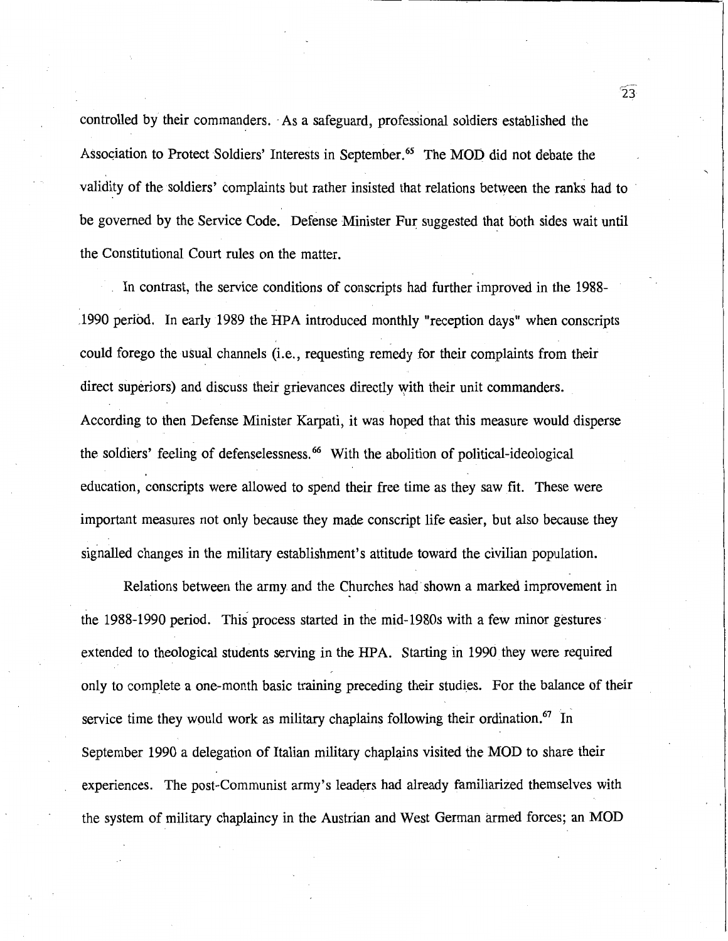controlled by their commanders. As a safeguard, professional soldiers established the Association to Protect Soldiers' Interests in September.<sup>65</sup> The MOD did not debate the validity of the soldiers' complaints but rather insisted that relations between the ranks had to be governed by the Service Code. Defense Minister Fur suggested that both sides wait until the Constitutional Court rules on the matter.

In contrast, the service conditions of conscripts had further improved in the 1988- -1990 period. In early 1989 the HPA introduced monthly "reception days" when conscripts could forego the usual channels (i.e., requesting remedy for their complaints from their direct superiors) and discuss their grievances directly with their unit commanders. According to then Defense Minister Karpati, it was hoped that this measure would disperse the soldiers' feeling of defenselessness. 66 With the abolition of political-ideological education, conscripts were allowed to spend their free time as they saw fit. These were important measures not only because they made conscript life easier, but also because they signalled changes in the military establishment's attitude toward the civilian population.

Relations between the army and the Churches had shown a marked improvement in the 1988-1990 period. This process started in the mid-1980s with a few minor gestures · extended to theological students serving in the HPA. Starting in 1990 they were required only to complete a one-month basic training preceding their studies. For the balance of their service time they would work as military chaplains following their ordination.<sup>67</sup> In September 1990 a delegation of Italian military chaplains visited the MOD to share their experiences. The post-Communist army's leaders had already familiarized themselves with the system of military chaplaincy in the Austrian and West German armed forces; an MOD

 $\overline{23}$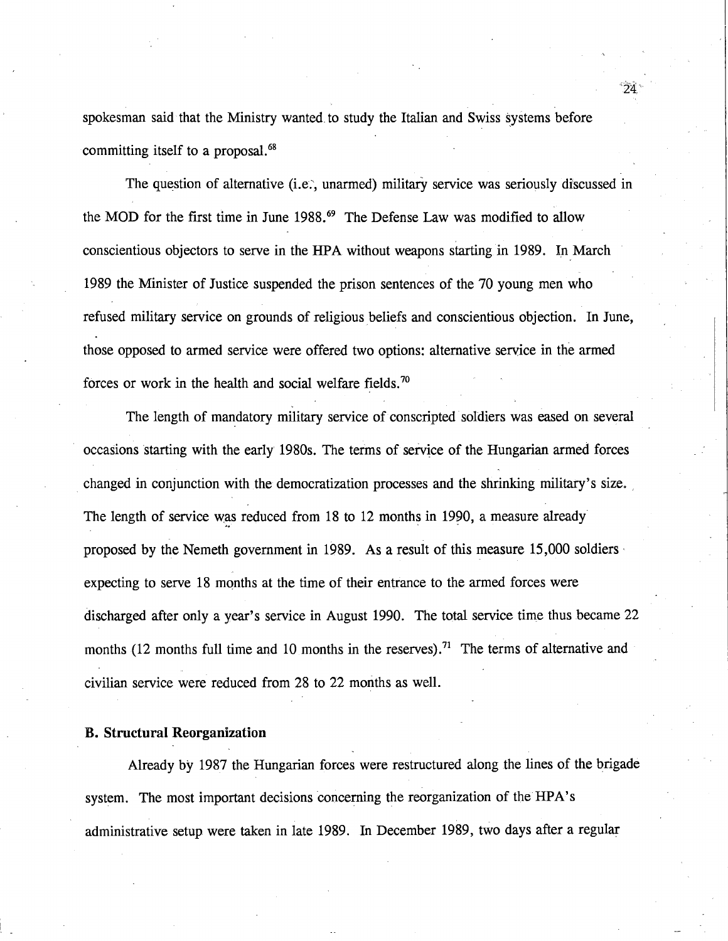spokesman said that the Ministry wanted. to study the Italian and Swiss systems before committing itself to a proposal.<sup>68</sup>

The question of alternative  $(i.e.,$  unarmed) military service was seriously discussed in the MOD for the first time in June 1988.<sup>69</sup> The Defense Law was modified to allow conscientious objectors to serve in the HPA without weapons starting in 1989. In March 1989 the Minister of Justice suspended the prison sentences of the 70 young men who refused military service on grounds of religious beliefs and conscientious objection. In June, those opposed to armed service were offered two options: alternative service in the armed forces or work in the health and social welfare fields. 70

The length of mandatory military service of conscripted soldiers was eased on several occasions starting with the early 1980s. The terms of service of the Hungarian armed forces changed in conjunction with the democratization processes and the shrinking military's size. The length of service was reduced from  $18$  to  $12$  months in 1990, a measure already proposed by the Nemeth government in 1989. As a result of this measure 15,000 soldiers· expecting to serve 18 months at the time of their entrance to the armed forces were discharged after only a year's service in August 1990. The total service time thus became 22 months (12 months full time and 10 months in the reserves).<sup>71</sup> The terms of alternative and civilian service were reduced from 28 to 22 months as well.

## **B. Structural Reorganization**

Already by 1987 the Hungarian forces were restructured along the lines of the brigade system. The most important decisions concerning the reorganization of the **HPA's**  administrative setup were taken in late 1989. In December 1989, two days after a regular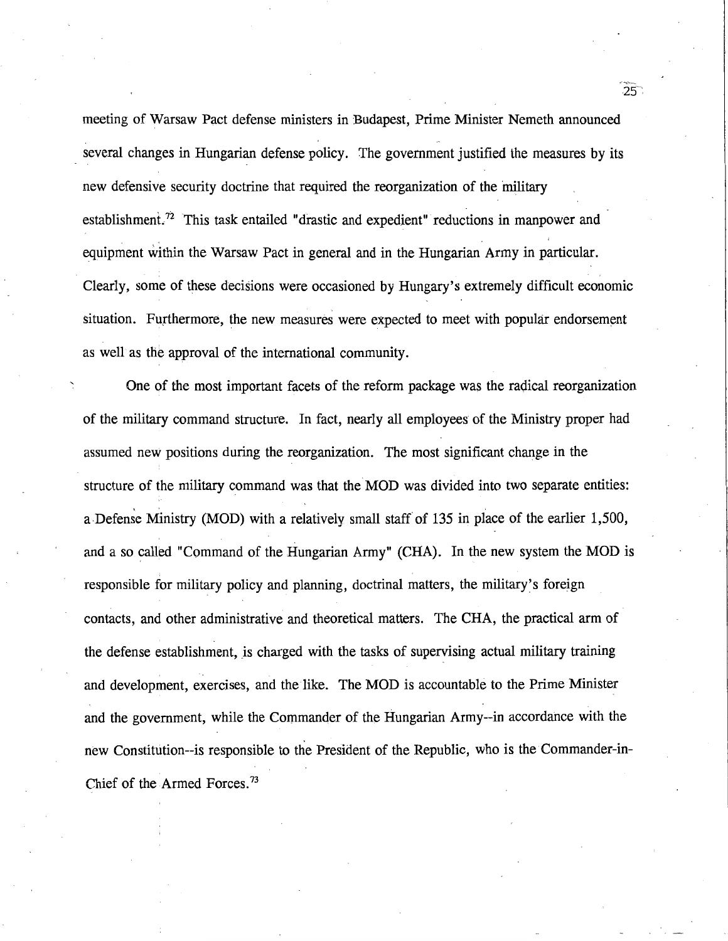meeting of Warsaw Pact defense ministers in Budapest, Prime Minister Nemeth announced several changes in Hungarian defense policy. The government justified the measures by its new defensive security doctrine that required the reorganization of the military establishment.72 This task entailed "drastic and expedient" reductions in manpower and equipment within the Warsaw Pact in general and in the Hungarian Army in particular. Clearly, some of these decisions were occasioned by Hungary's extremely difficult economic situation. Furthermore, the new measures were expected to meet with popular endorsement as well as the approval of the international community.

One of the most important facets of the reform package was the radical reorganization of the military command structure. In fact, nearly all employees of the Ministry proper had assumed new positions during the reorganization. The most significant change in the structure of the military command was that the MOD was divided into two separate entities: a Defense Ministry (MOD) with a relatively small staff of 135 in place of the earlier 1,500, and a so called "Command of the Hungarian Army" (CHA). In the new system the MOD is responsible for military policy and planning, doctrinal matters, the military's foreign contacts, and other administrative and theoretical matters. The CHA, the practical arm of the defense establishment, is charged with the tasks of supervising actual military training and development, exercises, and the like. The MOD is accountable to the Prime Minister and the government, while the Commander of the Hungarian Army--in accordance with the new Constitution--is responsible to the President of the Republic, who is the Commander-in-Chief of the Armed Forces. 73

 $.25^{\circ}$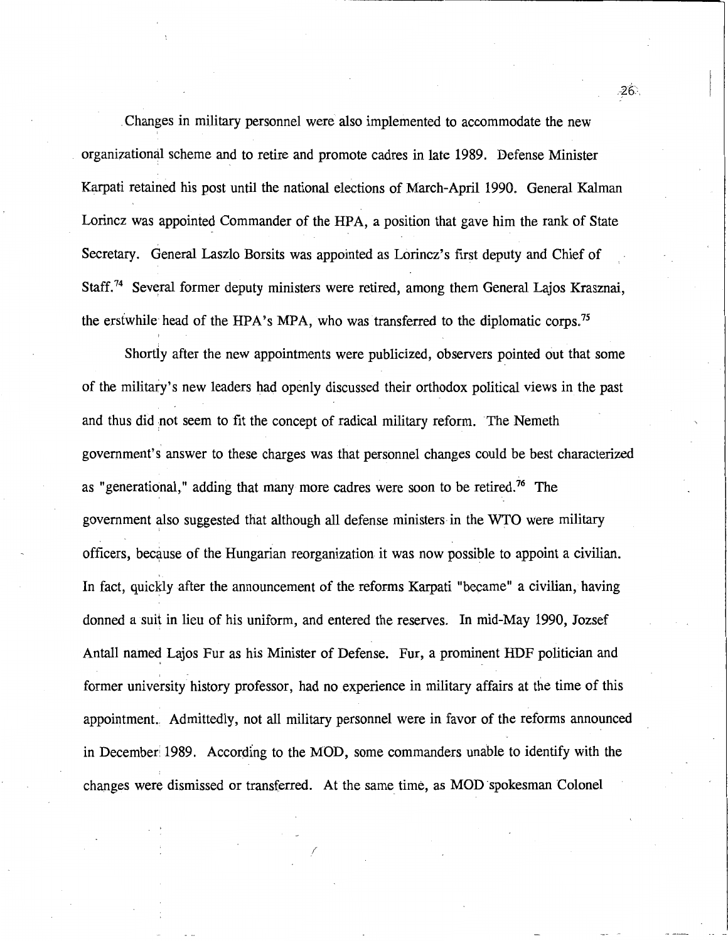. Changes in military personnel were also implemented to accommodate the new organizational scheme and to retire and promote cadres in late 1989. Defense Minister Karpati retained his post until the national elections of March-April 1990. General Kalman Lorincz was appointed Commander of the HPA, a position that gave him the rank of State Secretary. General Laszlo Borsits was appointed as Lorincz's first deputy and Chief of Staff.<sup>74</sup> Several former deputy ministers were retired, among them General Lajos Krasznai, the erstwhile head of the HPA's MPA, who was transferred to the diplomatic corps.75

Shortly after the new appointments were publicized, observers pointed out that some of the military's new leaders had openly discussed their orthodox political views in the past and thus did *pot* seem to fit the concept of radical military reform. The Nemeth government's answer to these charges was that personnel changes could be best characterized as "generational," adding that many more cadres were soon to be retired.<sup>76</sup> The government also suggested that although all defense ministers in the WTO were military officers, because of the Hungarian reorganization it was now possible to appoint a civilian. In fact, quickly after the announcement of the reforms Karpati "became" a civilian, having donned a suit in lieu of his uniform, and entered the reserves. In mid-May 1990, Jozsef Antall named Lajos Fur as his Minister of Defense. Fur, a prominent HDF politician and former university history professor, had no experience in military affairs at the time of this appointment.. Admittedly, not all military personnel were in favor of the reforms announced in December 1989. According to the MOD, some commanders unable to identify with the changes were dismissed or transferred. At the same time, as MOD spokesman Colonel

 $-26$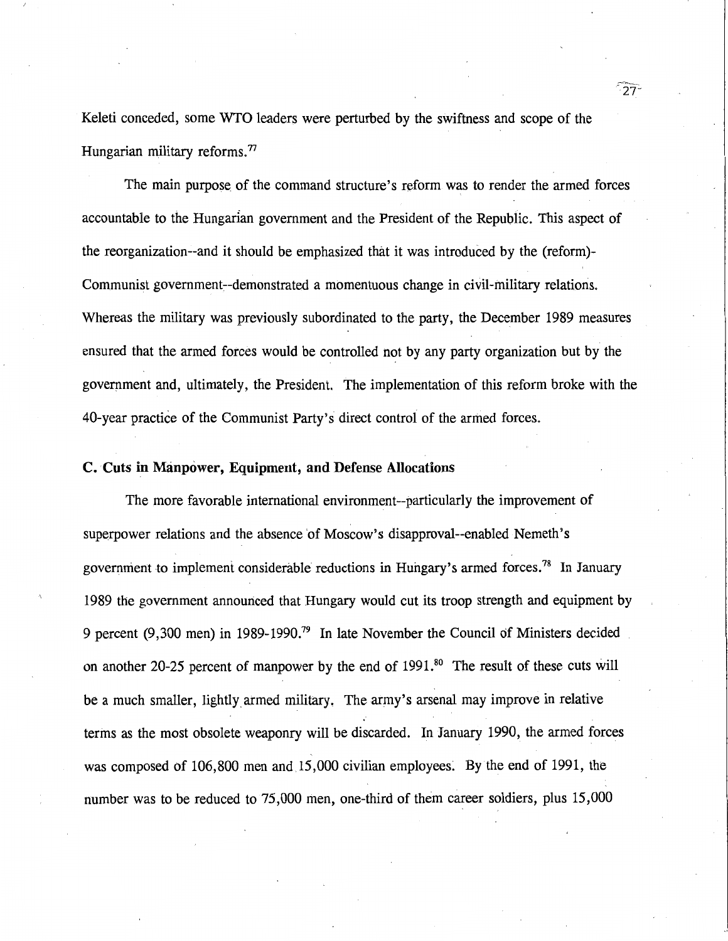Keleti conceded, some WTO leaders were perturbed by the swiftness and scope of the Hungarian military reforms.<sup>77</sup>

The main purpose of the command structure's reform was to render the armed forces accountable to the Hungarian government and the President of the Republic. This aspect of the reorganization--and it should be emphasized that it was introduced by the (reform)- Communist government--demonstrated a momentuous change in civil-military relations. Whereas the military was previously subordinated to the party, the December 1989 measures ensured that the armed forces would be controlled not by any party organization but by the goverpment and, ultimately, the President. The implementation of this reform broke with the 40-year practice of the Communist Party's direct control of the armed forces.

#### **C. Cuts in Manpower, Equipment, and Defense Allocations**

The more favorable international environment--particularly the improvement of superpower relations and the absence 'of Moscow's disapproval--enabled Nemeth's government to implement considerable reductions in Hungary's armed forces.<sup>78</sup> In January 1989 the government announced that Hungary would cut its troop strength and equipment by 9 percent (9,300 men) in 1989-1990.79 In late November the Council of Ministers decided on another 20-25 percent of manpower by the end of 1991.<sup>80</sup> The result of these cuts will be a much smaller, lightly armed military. The army's arsenal may improve in relative terms as the most obsolete weaponry will be discarded. In January 1990, the armed forces was composed of 106,800 men and 15,000 civilian employees: By the end of 1991, the number was to be reduced to 75,000 men, one-third of them career soldiers, plus 15,000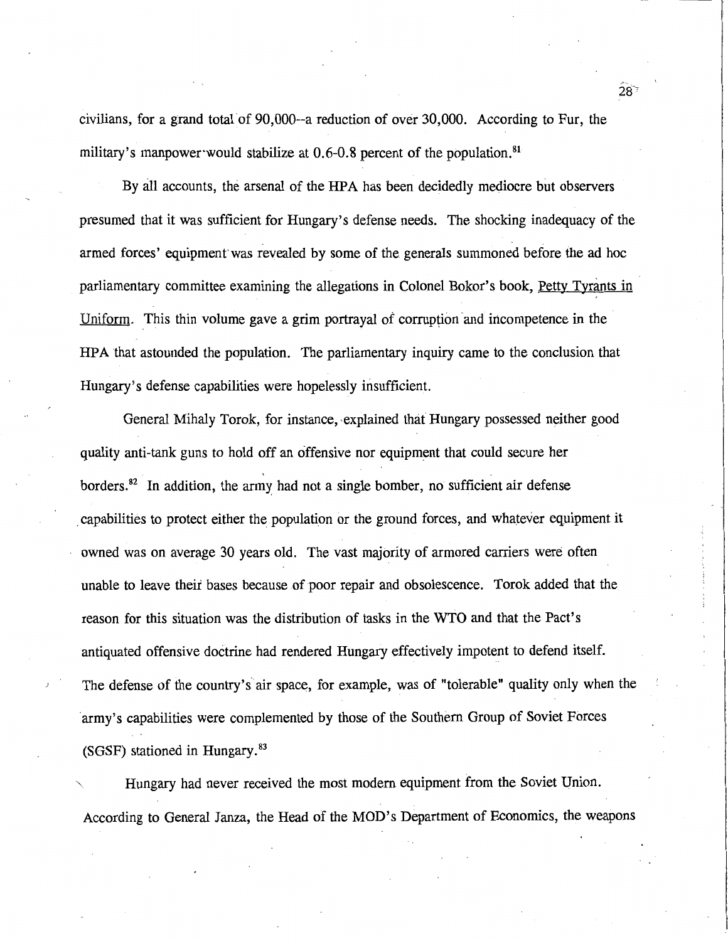civilians, for a grand total of 90,000--a reduction of over 30,000. According to Fur, the military's manpower would stabilize at  $0.6$ -0.8 percent of the population.<sup>81</sup>

By all accounts, the arsenal of the HPA has been decidedly mediocre but observers presumed that it was sufficient for Hungary's defense needs. The shocking inadequacy of the armed forces' equipment' was revealed by some of the generals summoned before the ad hoc parliamentary committee examining the allegations in Colonel Bokor's book, Petty Tyrants in Uniform. This thin volume gave a grim portrayal of corruption and incompetence in the HPA that astounded the population. The parliamentary inquiry came to the conclusion that Hungary's defense capabilities were hopelessly insufficient.

General Mihaly Torok, for instance, explained that Hungary possessed neither good quality anti-tank guns to hold off an offensive nor equipment that could secure her borders.  $82$  In addition, the army had not a single bomber, no sufficient air defense capabilities to protect either the population or the ground forces, and whatever equipment it owned was on average 30 years old. The vast majority of armored carriers were often unable to leave their bases because of poor repair and obsolescence. Torok added that the reason for this situation was the distribution of tasks in the WTO and that the Pact's antiquated offensive doctrine had rendered Hungary effectively impotent to defend itself. The defense of the country's air space, for example, was of "tolerable" quality only when the army's capabilities were complemented by those of the Southern Group of Soviet Forces (SGSF) stationed in Hungary. 83

Hungary had never received the most modern equipment from the Soviet Union. According to General Janza, the Head of the MOD's Department of Economics, the weapons

 $28$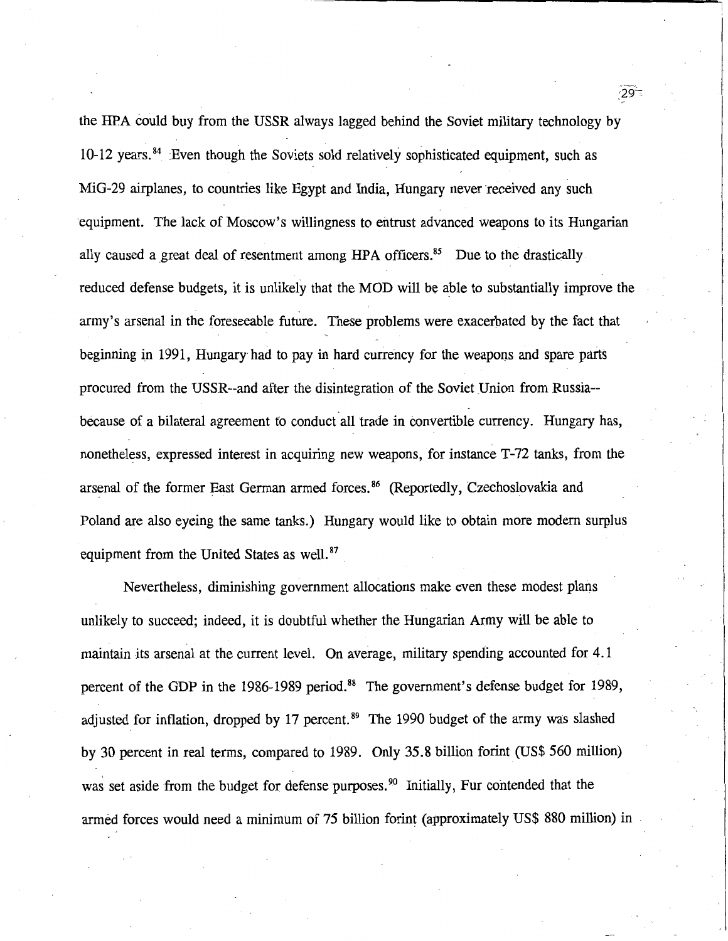the HPA could buy from the USSR always lagged behind the Soviet military technology by 10-12 years. 84 Even though the Soviets sold relatively sophisticated equipment, such as MiG-29 airplanes, to countries like Egypt and India, Hungary never received any such equipment. The lack of Moscow's willingness to entrust advanced weapons to its Hungarian ally caused a great deal of resentment among HPA officers.<sup>85</sup> Due to the drastically reduced defense budgets, it is unlikely that the MOD will be able to substantially improve the army's arsenal in the foreseeable future. These problems were exacerbated by the fact that beginning in 1991, Hungary had to pay in hard currency for the weapons and spare parts procured from the USSR--and after the disintegration of the Soviet Union from Russia- because of a bilateral agreement to conduct all trade in convertible currency. Hungary has, nonetheless, expressed interest in acquiring new weapons, for instance T-72 tanks, from the arsenal of the former East German armed forces.<sup>86</sup> (Reportedly, Czechoslovakia and Poland are also eyeing the same tanks.) Hungary would like to obtain more modern surplus equipment from the United States as well.<sup>87</sup>

Nevertheless, diminishing government allocations make even these modest plans unlikely to succeed; indeed, it is doubtful whether the Hungarian Army will be able to maintain its arsenal at the current level. On average, military spending accounted for 4.1 percent of the GDP in the 1986-1989 period. 88 The government's defense budget for 1989, adjusted for inflation, dropped by 17 percent.<sup>89</sup> The 1990 budget of the army was slashed by 30 percent in real terms, compared to 1989. Only 35.8 billion forint (US\$ 560 million) was set aside from the budget for defense purposes.<sup>90</sup> Initially, Fur contended that the armed forces would need a minimum of 75 billion forint (approximately US\$ 880 million) in

 $-29$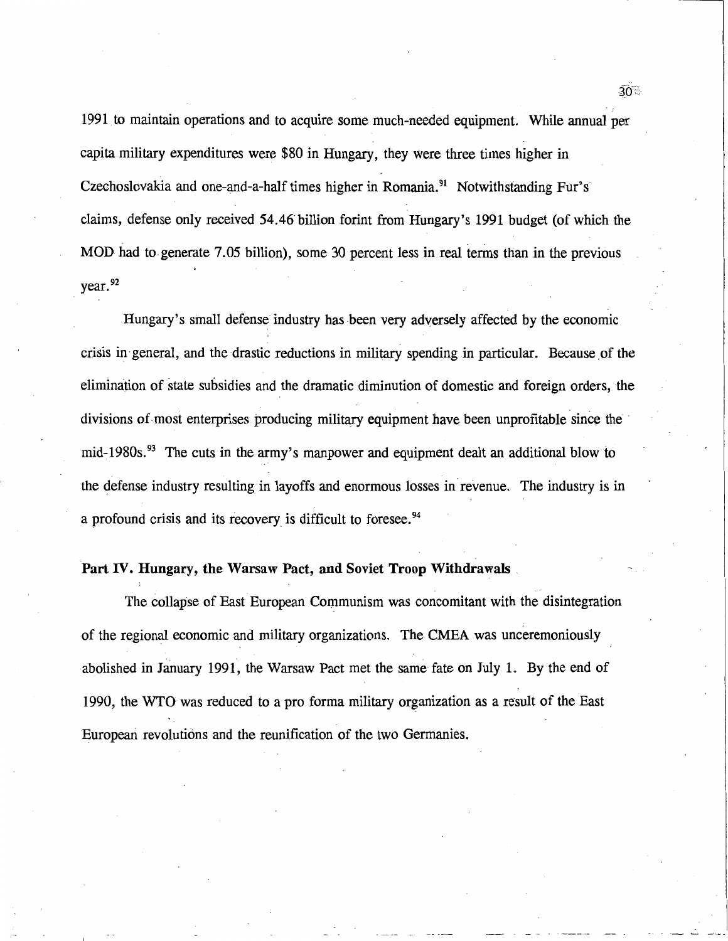1991 to maintain operations and to acquire some much-needed equipment. While annual per capita military expenditures were \$80 in Hungary, they were three times higher in Czechoslovakia and one-and-a-half times higher in Romania. 91 Notwithstanding Fur's claims, defense only received 54.46 billion forint from Hungary's 1991 budget (of which the MOD had to generate 7.05 billion), some 30 percent less in real terms than in the previous year.<sup>92</sup>

Hungary's small defense industry has been very adversely affected by the economic crisis in general, and the drastic reductions in military spending in particular. Because of the elimination of state subsidies and the dramatic diminution of domestic and foreign orders, the divisions of most enterprises producing military equipment have been unprofitable since the mid-1980s.<sup>93</sup> The cuts in the army's manpower and equipment dealt an additional blow to the defense industry resulting in layoffs and enormous losses in revenue. The industry is in a profound crisis and its recovery is difficult to foresee.<sup>94</sup>

#### **Part** IV. **Hungary, the Warsaw Pact, and Soviet Troop Withdrawals**

The collapse of East European Communism was concomitant with the disintegration of the regional economic and military organizations. The CMEA was unceremoniously abolished in January 1991, the Warsaw Pact met the same fate on July 1. By the end of 1990, the WTO was reduced to a proforma military organization as a result of the East European revolutions and the reunification of the two Germanies.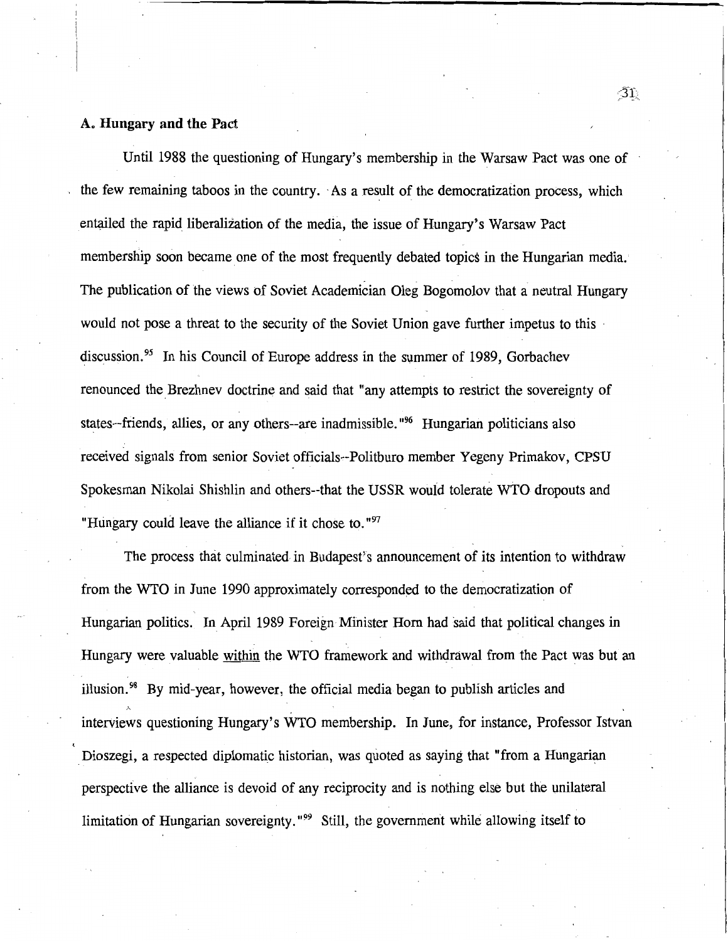#### **A. Hungary and the Pact**

Until 1988 the questioning of Hungary's membership in the Warsaw Pact was one of the few remaining taboos in the country. As a result of the democratization process, which entailed the rapid liberalization of the media, the issue of Hungary's Warsaw Pact membership soon became one of the most frequently debated topics in the Hungarian media. The publication of the views of Soviet Academician Oleg Bogomolov that a neutral Hungary would not pose a threat to the security of the Soviet Union gave further impetus to this discussion.<sup>95</sup> In his Council of Europe address in the summer of 1989, Gorbachev renounced the Brezhnev doctrine and said that "any attempts to restrict the sovereignty of states--friends, allies, or any others--are inadmissible.<sup>"96</sup> Hungarian politicians also received signals from senior Soviet officials-,-Politburo member Yegeny Primakov, CPSU Spokesman Nikolai Shishlin and others--that the USSR would tolerate WTO dropouts and "Hungary could leave the alliance if it chose to."<sup>97</sup>

The process that culminated in Budapest's announcement of its intention to withdraw from the WTO in June 1990 approximately corresponded to the democratization of Hungarian politics. In April 1989 Foreign Minister Horn had said that political changes in Hungary were valuable within the WTO framework and withdrawal from the Pact was but an illusion. 98 By mid-year, however, the official media began to publish articles and interviews questioning Hungary's WTO membership. In June, for instance, Professor Istvan Dioszegi, a respected diplomatic historian, was quoted as saying that "from a Hungarian perspective the alliance is devoid of any reciprocity and is nothing else but the unilateral limitation of Hungarian sovereignty. "<sup>99</sup> Still, the government while allowing itself to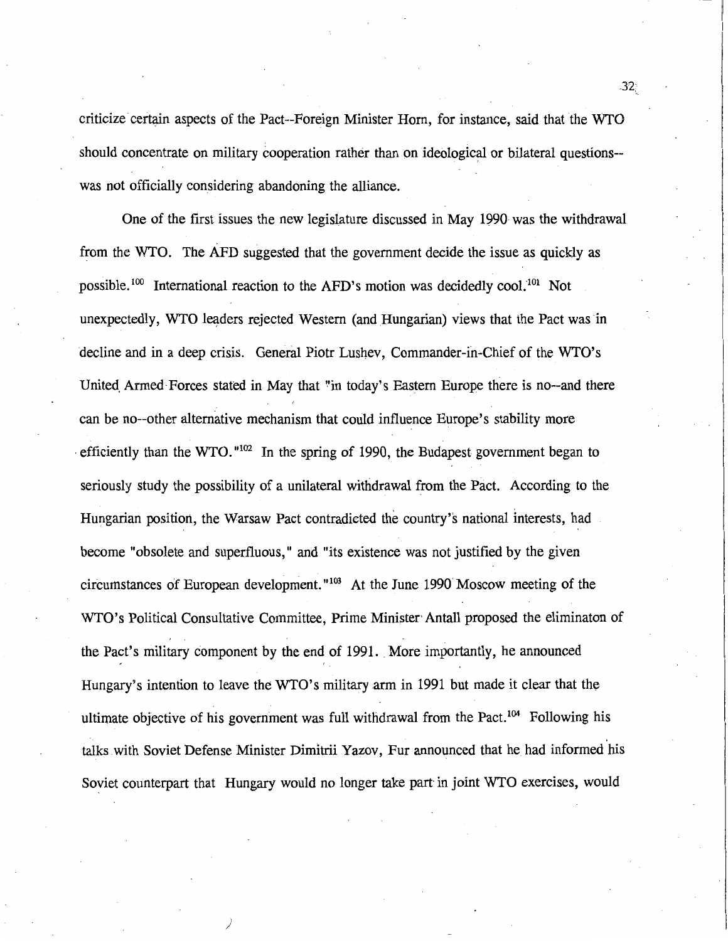criticize certain aspects of the Pact--Foreign Minister Horn, for instance, said that the WTO should concentrate on military cooperation rather than on ideological or bilateral questions- was not officially considering abandoning the alliance.

One of the first issues the new legislature discussed in May 1990 was the withdrawal from the WTO. The AFD suggested that the government decide the issue as quickly as possible.<sup>100</sup> International reaction to the AFD's motion was decidedly cool.<sup>101</sup> Not unexpectedly, WTO leaders rejected Western (and Hungarian) views that the Pact was in decline and in a deep crisis. General Piotr Lushev, Commander-in-Chief of the WTO's United Armed-Forces stated in May that "in today's Eastern Europe there is no--and there can be no--other alternative mechanism that could influence Europe's stability more efficiently than the WTO.  $102$  In the spring of 1990, the Budapest government began to seriously study the possibility of a unilateral withdrawal from the Pact. According to the Hungarian position, the Warsaw Pact contradicted the country's national interests, had become "obsolete and superfluous," and "its existence was not justified by the given circumstances of European development."<sup>103</sup> At the June 1990 Moscow meeting of the WTO's Political Consultative Committee, Prime Minister Antall proposed the eliminaton of the Pact's military component by the end of 1991. More importantly, he announced Hungary's intention to leave the WTO's military arm in 1991 but made it clear that the ultimate objective of his government was full withdrawal from the Pact.<sup>104</sup> Following his talks . with Soviet Defense Minister Dimitrii Y azov, Fur announced that he had informed his Soviet counterpart that Hungary would no longer take part in joint WTO exercises, would

*)*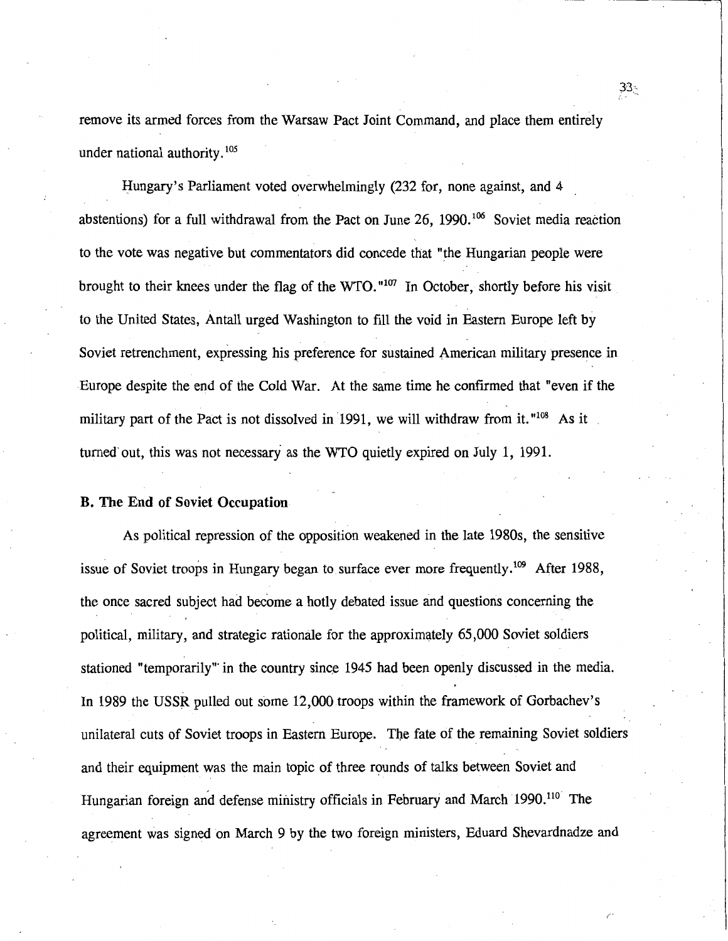remove its armed forces from the Warsaw Pact Joint Command, and place them entirely under national authority.<sup>105</sup>

Hungary's Parliament voted overwhelmingly (232 for, none against, and 4 abstentions) for a full withdrawal from the Pact on June  $26$ , 1990.<sup>106</sup> Soviet media reaction to the vote was negative but commentators did concede that "the Hungarian people were brought to their knees under the flag of the WTO." $107$  In October, shortly before his visit to the United States, Antall urged Washington to fill the void in Eastern Europe left by Soviet retrenchment, expressing his preference for sustained American military presence in Europe despite the end of the Cold War. At the same time he confirmed that "even if the military part of the Pact is not dissolved in 1991, we will withdraw from it.  $108$  As it turned out, this was not necessary as the WTO quietly expired on July 1, 1991.

#### B. The End of Soviet Occupation

As political repression of the opposition weakened in the late 1980s, the sensitive issue of Soviet troops in Hungary began to surface ever more frequently.<sup>109</sup> After 1988, the once sacred subject had become a hotly debated issue and questions concerning the political, military, and strategic rationale for the approximately 65,000 Soviet soldiers stationed "temporarily" in the country since 1945 had been openly discussed in the media. In 1989 the USSR pulled out some 12,000 troops within the framework of Gorbachev's unilateral cuts of Soviet troops in Eastern Europe. The fate of the remaining Soviet soldiers and their equipment was the main topic of three rounds of talks between Soviet and Hungarian foreign and defense ministry officials in February and March 1990.<sup>110</sup> The agreement was signed on March 9 by the two foreign ministers, Eduard Shevardnadze and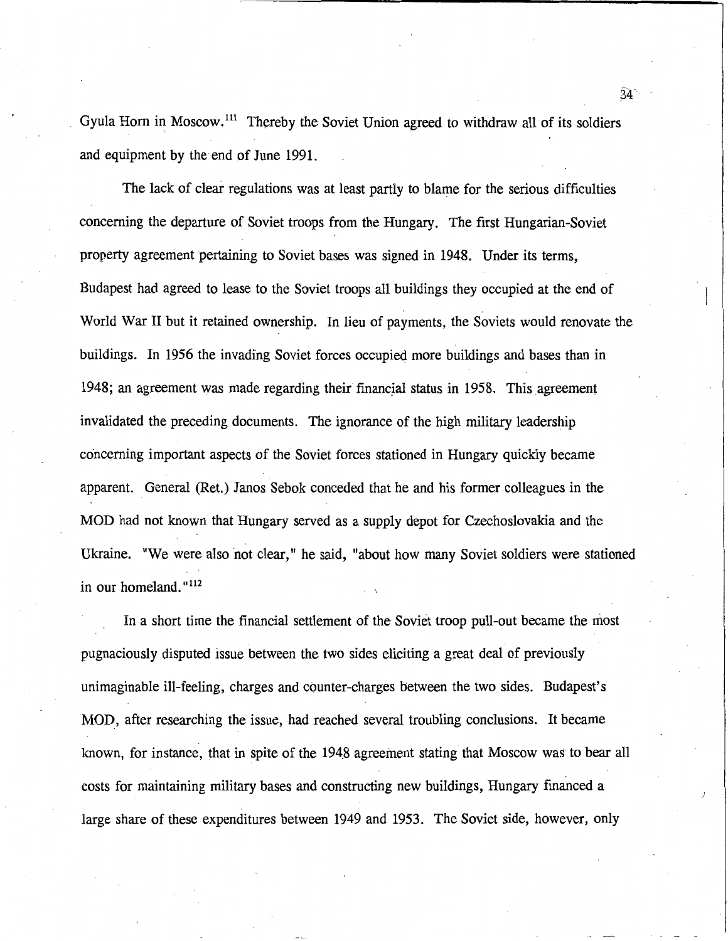Gyula Horn in Moscow. 111 Thereby the Soviet Union agreed to withdraw all of its soldiers and equipment by the end of June 1991.

The lack of clear regulations was at least partly to blame for the serious difficulties concerning the departure of Soviet troops from the Hungary. The first Hungarian-Soviet property agreement pertaining to Soviet bases was signed in 1948. Under its terms, Budapest had agreed to lease to the Soviet troops all buildings they occupied at the end of World War II but it retained ownership. In lieu of payments, the Soviets would renovate the buildings. In 1956 the invading Soviet forces occupied more buildings and bases than in 1948; an agreement was made regarding their financial status in 1958. This agreement invalidated the preceding documents. The ignorance of the high military leadership concerning important aspects of the Soviet forces stationed in Hungary quickly became apparent. General (Ret.) Janos Sebok conceded that he and his former colleagues in the MOD had not known that Hungary served as a supply depot for Czechoslovakia and the Ukraine. "We were also not clear," he said, "about how many Soviet soldiers were stationed in our homeland. "112

In a short time the financial settlement of the Soviet troop pull-out became the most pugnaciously disputed issue between the two sides eliciting a great deal of previously unimaginable ill-feeling, charges and counter-charges between the two sides. Budapest's MOD, after researching the issue, had reached several troubling conclusions. It became known, for instance, that in spite of the 1948 agreement stating that Moscow was to bear all costs for maintaining military bases and constructing new buildings, Hungary financed a large share of these expenditures between 1949 and 1953. The Soviet side, however, only

J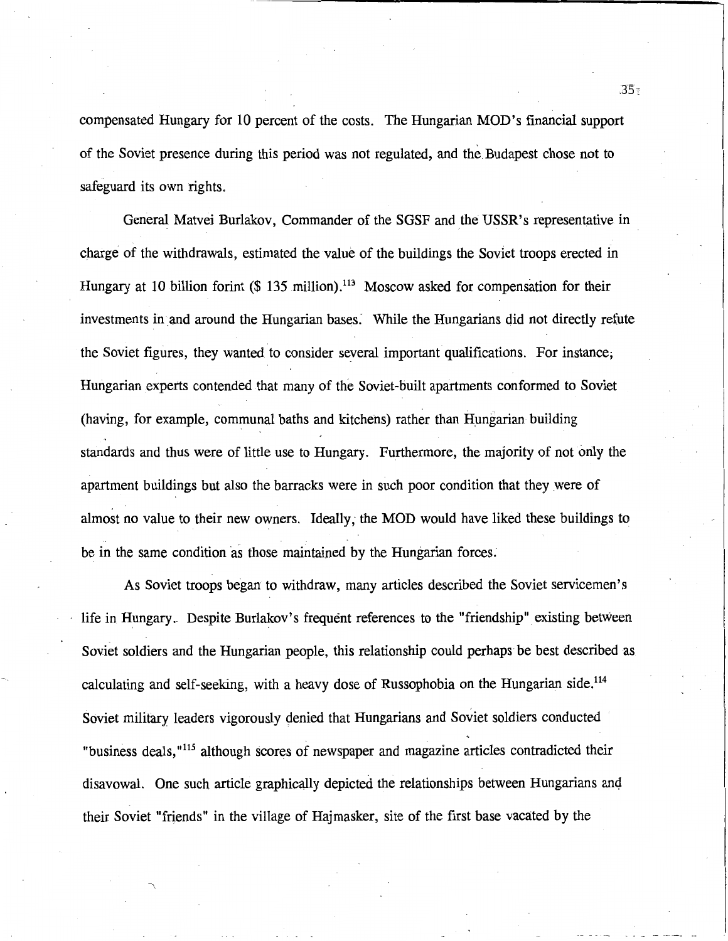compensated Hungary for 10 percent of the costs. The Hungarian MOD's financial support of the Soviet presence during this period was not regulated, and the Budapest chose not to safeguard its own rights.

General Matvei Burlakov, Commander of the SGSF and the USSR's representative in charge of the withdrawals, estimated the value of the buildings the Soviet troops erected in Hungary at 10 billion forint  $(\$ 135$  million).<sup>113</sup> Moscow asked for compensation for their investments in and around the Hungarian bases. While the Hungarians did not directly refute the Soviet figures, they wanted to consider several important qualifications. For instance; Hungarian experts contended that many of the Soviet-built apartments conformed to Soviet (having, for example, communal baths and kitchens) rather than Hungarian building standards and thus were of little use to Hungary. Furthermore, the majority of not only the apartment buildings but also the barracks were in such poor condition that they were of almost no value to their new owners. Ideally; the MOD would have liked these buildings to be in the same condition as those maintained by the Hungarian forces.

As Soviet troops began to withdraw, many articles described the Soviet servicemen's life in Hungary. Despite Burlakov's frequent references to the "friendship" existing between Soviet soldiers and the Hungarian people, this relationship could perhaps be best described as calculating and self-seeking, with a heavy dose of Russophobia on the Hungarian side.<sup>114</sup> Soviet military leaders vigorously denied that Hungarians and Soviet soldiers conducted "business deals, "115 although scores of newspaper and magazine articles contradicted their disavowal. One such article graphically depicted the relationships between Hungarians and their Soviet "friends" in the village of Hajmasker, site of the first base vacated by the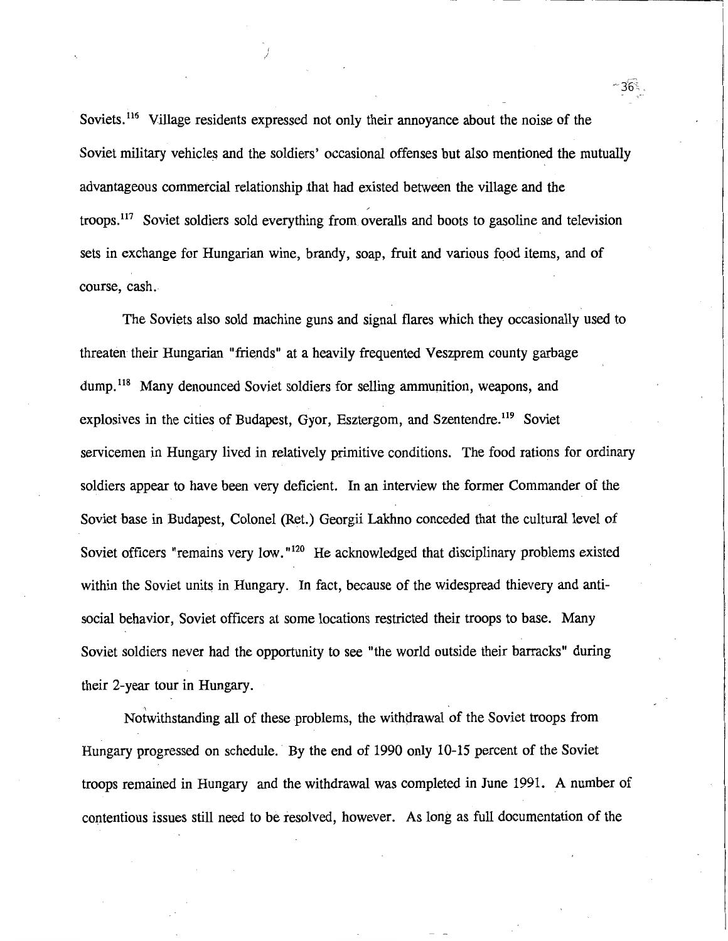Soviets.<sup>116</sup> Village residents expressed not only their annoyance about the noise of the Soviet military vehicles and the soldiers' occasional offenses but also mentioned the mutually advantageous commercial relationship that had existed between the village and the troops.<sup>117</sup> Soviet soldiers sold everything from overalls and boots to gasoline and television sets in exchange for Hungarian wine, brandy, soap, fruit and various food items, and of course, cash.

I /

The Soviets also sold machine guns and signal flares which they occasionally used to threaten their Hungarian "friends" at a heavily frequented Veszprem county garbage dump.<sup>118</sup> Many denounced Soviet soldiers for selling ammunition, weapons, and explosives in the cities of Budapest, Gyor, Esztergom, and Szentendre.<sup>119</sup> Soviet servicemen in Hungary lived in relatively primitive conditions. The food rations for ordinary soldiers appear to have been very deficient. In an interview the former Commander of the Soviet base in Budapest, Colonel (Ret.) Georgii Lakhno conceded that the cultural level of Soviet officers "remains very low."<sup>120</sup> He acknowledged that disciplinary problems existed within the Soviet units in Hungary. In fact, because of the widespread thievery and antisocial behavior, Soviet officers at some locations restricted their troops to base. Many Soviet soldiers never had the opportunity to see "the world outside their barracks" during their 2-year tour in Hungary.

Notwithstanding all of these problems, the withdrawal of the Soviet troops from Hungary progressed on schedule. By the end of 1990 only 10-15 percent of the Soviet troops remained in Hungary and the withdrawal was completed in June 1991. A number of contentious issues still need to be resolved, however. As long as full documentation of the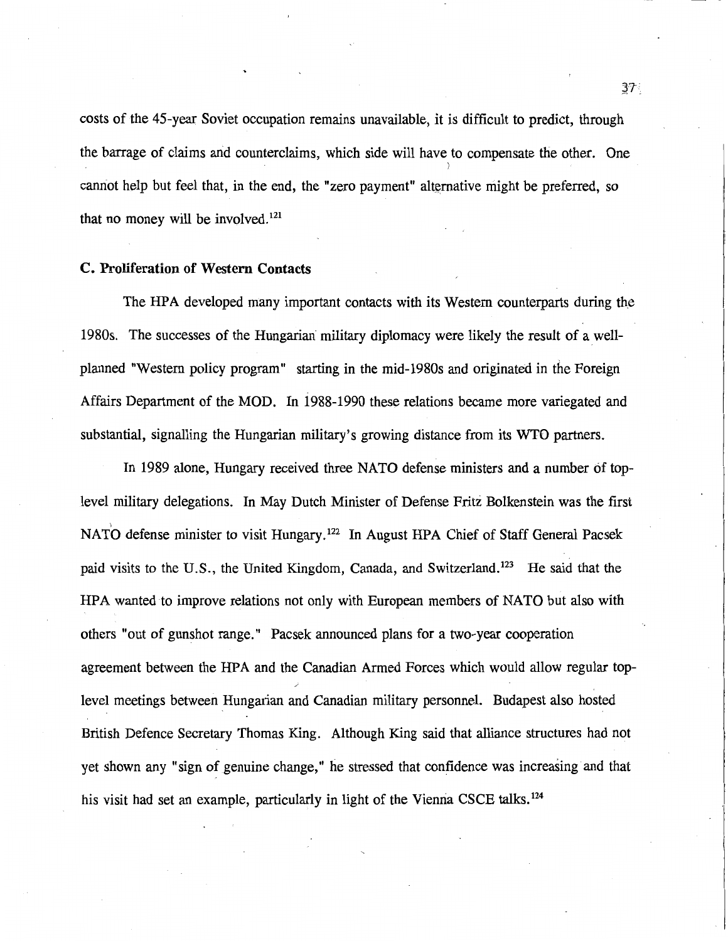costs of the 45-year Soviet occupation remains unavailable, it is difficult to predict, through the barrage of claims and counterclaims, which side will have to compensate the other. One ) cannot help but feel that, in the end, the "zero payment" alternative might be preferred, so that no money will be involved.<sup>121</sup>

#### **C. Proliferation of Western Contacts**

The HPA developed many important contacts with its Western counterparts during the 1980s. The successes of the Hungarian military diplomacy were likely the result of a wellplanned "Western policy program" starting in the mid-1980s and originated in the Foreign Affairs Department of the MOD. In 1988-1990 these relations became more variegated and substantial, signalling the Hungarian military's growing distance from its WTO partners.

In 1989 alone, Hungary received three NATO defense ministers and a number of toplevel military delegations. In May Dutch Minister of Defense Fritz Bolkenstein was the first NATO defense minister to visit Hungary.<sup>122</sup> In August HPA Chief of Staff General Pacsek paid visits to the U.S., the United Kingdom, Canada, and Switzerland.<sup>123</sup> He said that the HPA wanted to improve relations not only with European members of NATO but also with others "out of gunshot range." Pacsek announced plans for a two-year cooperation agreement between the HPA and the Canadian Armed Forces which would allow regular toplevel meetings between Hungarian and Canadian military personnel. Budapest also hosted British Defence Secretary Thomas King. Although King said that alliance structures had not yet shown any "sign of genuine change," he stressed that confidence was increasing· and that his visit had set an example, particularly in light of the Vienna CSCE talks.<sup>124</sup>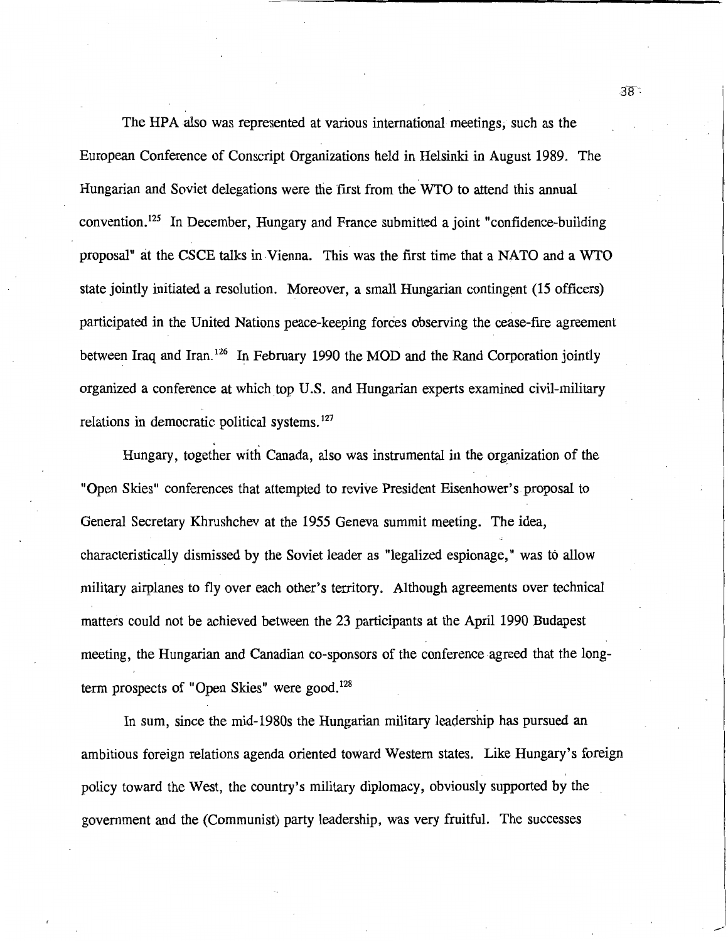The HPA also was represented at various international meetings, such as the European Conference of Conscript Organizations held in Helsinki in August 1989. The Hungarian and Soviet delegations were the first from the WTO to attend this annual convention. 125 In December, Hungary and France submitted a joint "confidence-building proposal" at the CSCE talks in Vienna. This was the first time that a NATO and a WTO state jointly initiated a resolution. Moreover, a small Hungarian contingent (15 officers) participated in the United Nations peace-keeping forces observing the cease-fire agreement between Iraq and Iran.<sup>126</sup> In February 1990 the MOD and the Rand Corporation jointly organized a conference at which top U.S. and Hungarian experts examined civil-military relations in democratic political systems. 127

Hungary, together with Canada, also was instrumental in the organization of the "Open Skies" conferences that attempted to revive President Eisenhower's proposal to General Secretary Khrushchev at the 1955 Geneva summit meeting. The idea, characteristically dismissed by the Soviet leader as "legalized espionage," was to allow military airplanes to fly over each other's territory. Although agreements over technical matters could not be achieved between the 23 participants at the April 1990 Budapest meeting, the Hungarian and Canadian co-sponsors of the conference agreed that the longterm prospects of "Open Skies" were good. <sup>128</sup>

In sum, since the mid-1980s the Hungarian military leadership has pursued an ambitious foreign relations agenda oriented toward Western states. Like Hungary's foreign policy toward the West, the country's military diplomacy, obviously supported by the government and the (Communist) party leadership, was very fruitful. The successes

-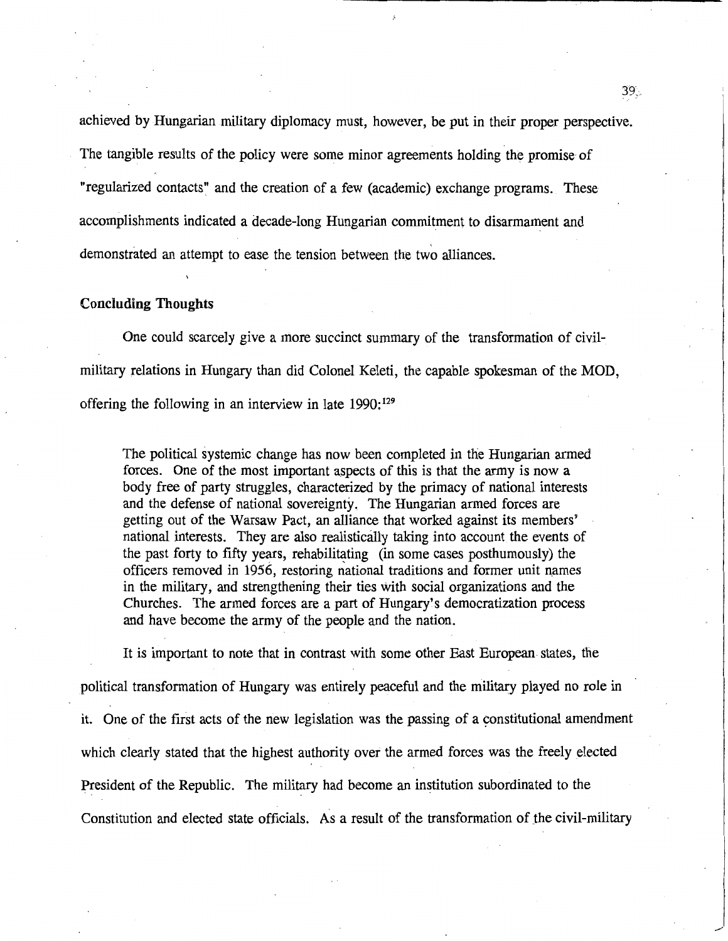achieved by Hungarian military diplomacy must, however, be put in their proper perspective. The tangible results of the policy were some minor agreements holding the promise of "regularized contacts" and the creation of a few (academic) exchange programs. These accomplishments indicated a decade-long Hungarian commitment to disarmament and demonstrated an attempt to ease the tension between the two alliances.

#### **Concluding Thoughts**

One could scarcely give a more succinct summary of the transformation of civilmilitary relations in Hungary than did Colonel Keleti, the capable spokesman of the **MOD,**  offering the following in an interview in late 1990: 129

The political systemic change has now been completed in the Hungarian armed forces. One of the most important aspects of this is that the army is now a body free of party struggles, characterized by the primacy of national interests and the defense of national sovereignty, The Hungarian armed forces are getting out of the Warsaw Pact, an alliance that worked against its members' national interests. They are also realistically taking into account the events of the past forty to fifty years, rehabilitating (in some cases posthumously) the officers removed in 1956, restoring national traditions and former unit names in the military, and strengthening their ties with social organizations and the Churches. The armed forces are a part of Hungary's democratization process and have become the army of the people and the nation.

It is important to note that in contrast with some other East European states, the political transformation of Hungary was entirely peaceful and the military played no role in it. One of the first acts of the new legislation was the passing of a constitutional amendment which clearly stated that the highest authority over the armed forces was the freely elected President of the Republic. The military had become an institution subordinated to the Constitution and elected state officials. As a result of the transformation of the civil-military

--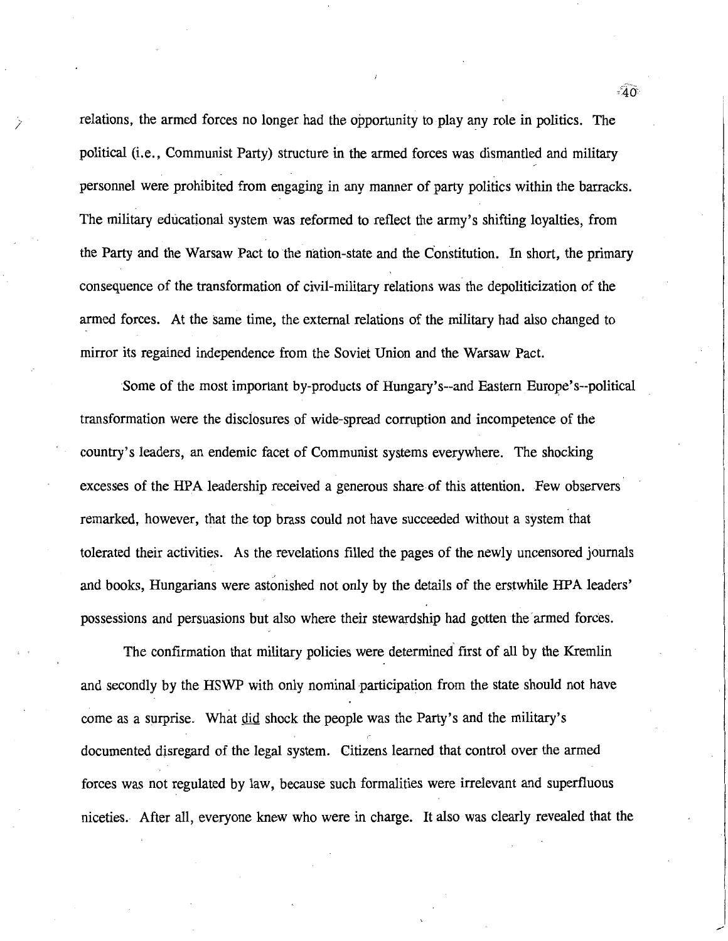relations, the armed forces no longer had the opportunity to play any role in politics. The political (i.e., Communist Party) structure in the armed forces was dismantled and military personnel were prohibited from engaging in any manner of party politics within the barracks. The military educational system was reformed to reflect the army's shifting loyalties, from the Party and the Warsaw Pact to the nation-state and the Constitution. In short, the primary consequence of the transformation of civil-military relations was the depoliticization of the armed forces. At the same time, the external relations of the military had also changed to mirror its regained independence from the Soviet Union and the Warsaw Pact.

Some of the most important by-products of Hungary's--and Eastern Europe's--political transformation were the disclosures of wide-spread corruption and incompetence of the country's leaders, an endemic facet of Communist systems everywhere. The shocking excesses of the HPA leadership received a generous share of this attention. Few observers remarked, however, that the top brass could not have succeeded without a system that tolerated their activities. As the revelations filled the pages of the newly uncensored journals and books, Hungarians were astonished not only by the details of the erstwhile HPA leaders' possessions and persuasions but also where their stewardship had gotten the armed forces.

The confirmation that military policies were determined, first of all by the Kremlin and secondly by the HSWP with only nominal participation from the state should not have come as a surprise. What did shock the people was the Party's and the military's documented disregard of the legal system. Citizens learned that control over the armed forces was not regulated by law, because such formalities were irrelevant and superfluous niceties. After all, everyone knew who were in charge. It also was clearly revealed that the

 $-40$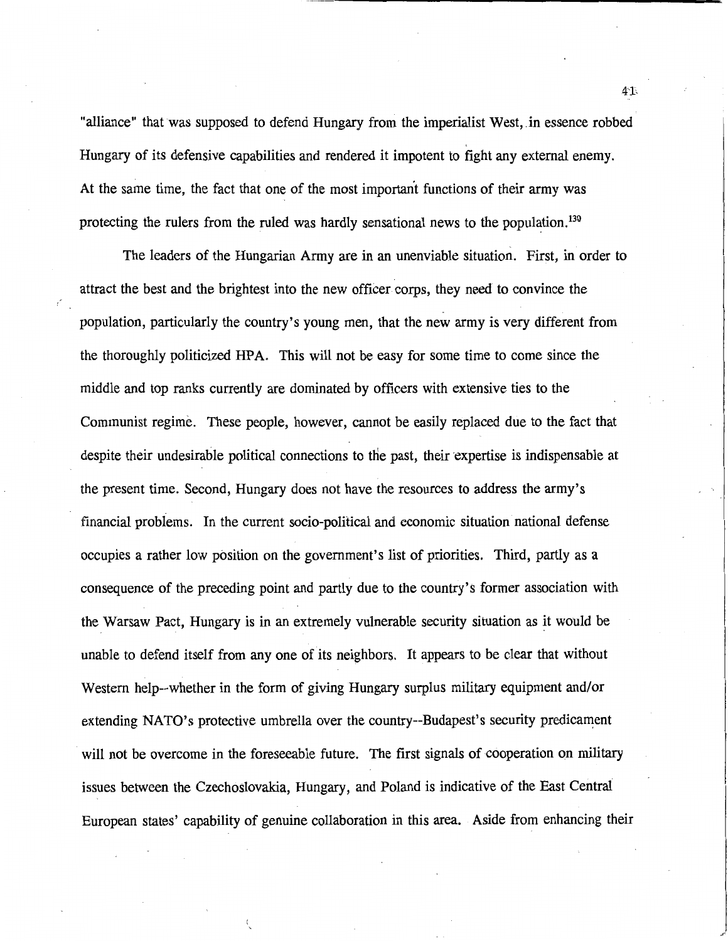"alliance" that was supposed to defend Hungary from the imperialist West, .in essence robbed Hungary of its defensive capabilities and rendered it impotent to fight any external enemy. At the same time, the fact that one of the most important functions of their army was protecting the rulers from the ruled was hardly sensational news to the population.<sup>130</sup>

The leaders of the Hungarian Army are in an unenviable situation. First, in order to attract the best and the brightest into the new officer. corps, they need to convince the population, particularly the country's young men, that the new army is very different from the thoroughly politicized HPA. This will not be easy for some time to come since the middle and top ranks currently are dominated by officers with extensive ties to the Communist regime. These people, however, cannot be easily replaced due to the fact that despite their undesirable political connections to the past, their expertise is indispensable at the present time. Second, Hungary does not have the resources to address the army's financial problems. In the current socio-political and economic situation national defense occupies a rather low position on the government's list of priorities. Third, partly as a consequence of the preceding point and partly due to the country's former association with the Warsaw Pact, Hungary is in an extremely vulnerable security situation as it would be unable to defend itself from any one of its neighbors. It appears to be clear that without Western help--whether in the form of giving Hungary surplus military equipment and/or extending NATO's protective umbrella over the country--Budapest's security predicament will not be overcome in the foreseeable future. The first signals of cooperation on military issues between the Czechoslovakia, Hungary, and Poland is indicative of the East Central European states' capability of genuine collaboration in this area. Aside from enhancing their

 $41$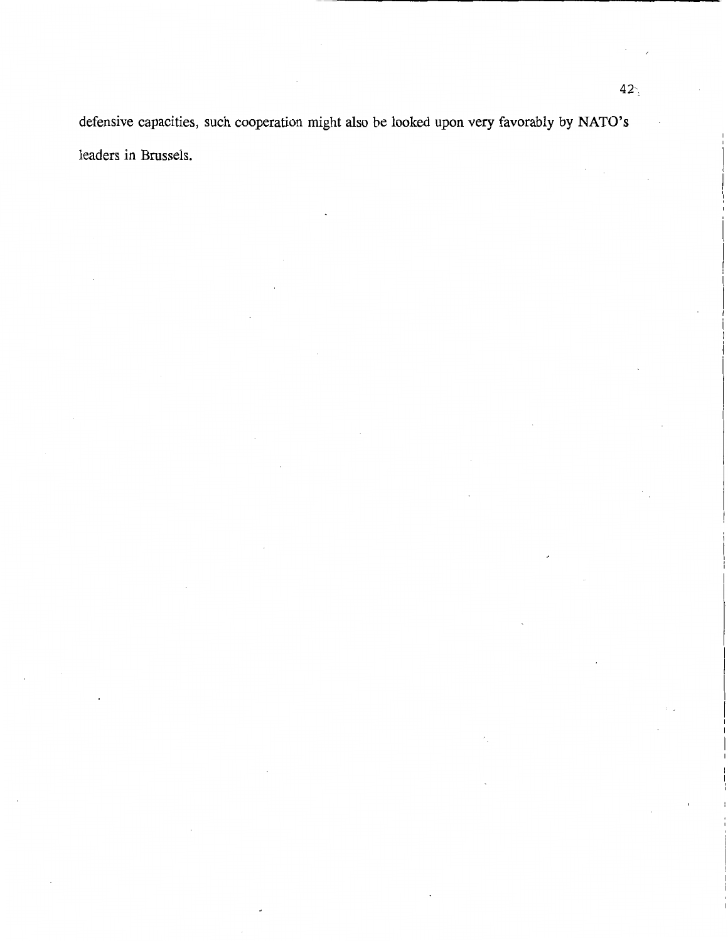defensive capacities, such cooperation might also be looked upon very favorably by NATO's leaders in Brussels.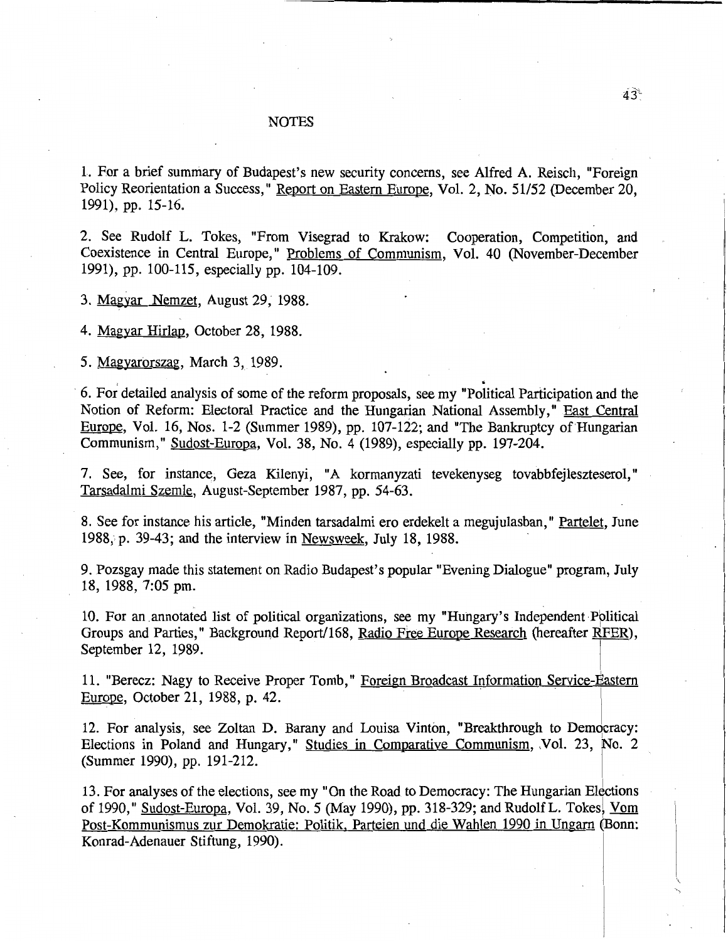#### **NOTES**

l. For a brief summary of Budapest's new security concerns, see Alfred A. Reisch, "Foreign Policy Reorientation a Success," Report on Eastern Europe, Vol. 2, No. 51/52 (December 20, 1991), pp. 15-16.

2. See Rudolf L. Tokes, "From Visegrad to Krakow: Cooperation, Competition, and Coexistence in Central Europe," Problems of Communism, Vol. 40 (November-December 1991), pp. 100-115, especially pp. 104-109.

3. Magyar Nemzet, August 29, 1988.

4. Magyar Hirlap, October 28, 1988.

5. Magyarorszag, March 3, 1989.

6. For detailed analysis of some of the reform proposals, see my "Political Participation and the Notion of Reform: Electoral Practice and the Hungarian National Assembly," East Central Europe, Vol. 16, Nos. 1-2 (Summer 1989), pp. 107-122; and "The Bankruptcy of Hungarian Communism," Sudost-Europa, Vol. 38, No. 4 (1989), especially pp. 197-204.

7. See, for instance, Geza Kilenyi, "A kormanyzati tevekenyseg tovabbfejleszteserol," Tarsadalmi Szemle, August-September 1987, pp. 54-63.

8. See for instance his article, "Minden tarsadalmi ero erdekelt a megujulasban," Partelet, June 1988, p. 39-43; and the interview in Newsweek, July 18, 1988.

9. Pozsgay made this statement on Radio Budapest's popular "Evening Dialogue" program, July 18, 1988, 7:05 pm.

10. For an .annotated list of political organizations, see my "Hungary's Independent Pblitical Groups and Parties," Background Report/168, Radio Free Europe Research (hereafter RFER), September 12, 1989.

11. "Berecz: Nagy to Receive Proper Tomb," Foreign Broadcast Information Service-Eastern Europe, October 21, 1988, p. 42.

12. For analysis, see Zoltan D. Barany and Louisa Vinton, "Breakthrough to Democracy: Elections in Poland and Hungary," Studies in Comparative Communism, Vol. 23, No. 2 (Summer 1990), pp. 191-212.

13. For analyses of the elections, see my "On the Road to Democracy: The Hungarian Elections of 1990," Sudost-Europa, Vol. 39, No. *5* (May 1990), pp. 318-329; and RudolfL. Tokesl Yorn Post-Kommunismus zur Demokratie: Politik, Parteien und die Wahlen 1990 in Ungarn (Bonn: Konrad-Adenauer Stiftung, 1990).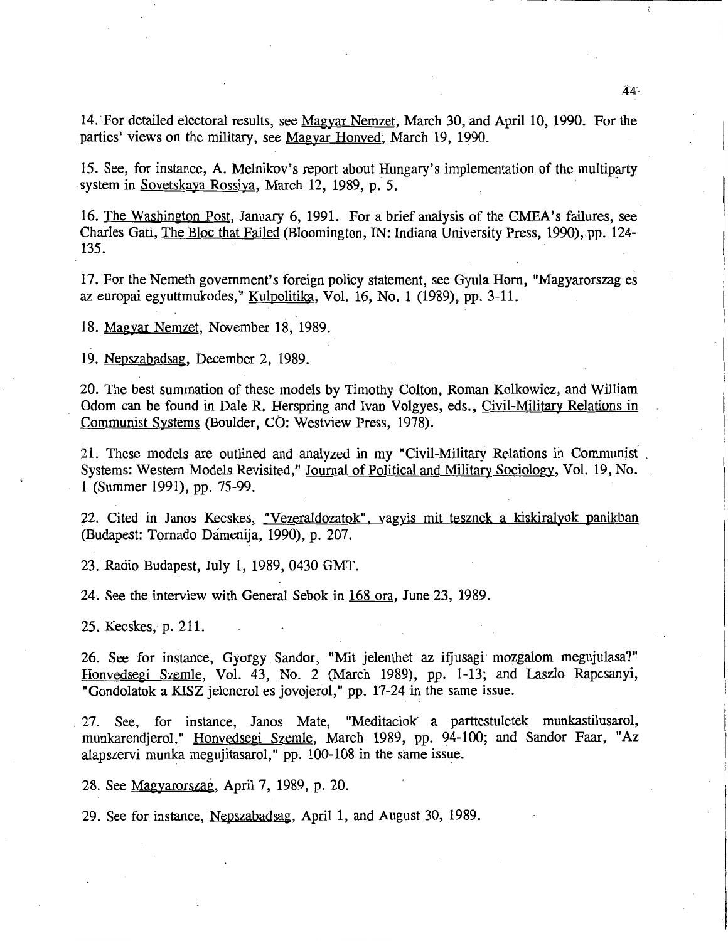14. For detailed electoral results, see Magyar Nemzet, March 30, and April 10, 1990. For the parties' views on the military, see Magyar Honved, March 19, 1990.

15. See, for instance, A. Melnikov's report about Hungary's implementation of the multiparty system in Sovetskaya Rossiya, March 12, 1989, p. *5.* ·

16. The Washington Post, January 6, 1991. For a brief analysis of the CMEA's failures, see Charles Gati, The Bloc that Failed (Bloomington, IN: Indiana University Press, 1990),,pp. 124- 135.

17. For the Nemeth government's foreign policy statement, see Gyula Horn, "Magyarorszag es az europai egyuttmukodes," Kulpolitika, Vol. 16, No. 1 (1989), pp. 3-11.

18. Magyar Nemzet, November 18, 1989.

19. Nepszabadsag, December 2, 1989.

20. The best summation of these models by Timothy Colton, Roman Kolkowicz, and William Odom can be found in Dale R. Herspring and Ivan Volgyes, eds., Civil-Military Relations in Communist Systems (Boulder, CO: Westview Press, 1978).

21. These models are outlined and analyzed in my "Civil-Military Relations in Communist Systems: Western Models Revisited," Journal of Political and Military Sociology, Vol. 19, No. 1 (Summer 1991), pp. 75-99. ·

22. Cited in Janos Kecskes, "Vezeraldozatok". vagyis mit tesznek a kiskiralyok panikban (Budapest: Tornado Damenija, 1990), p. 207.

23. Radio Budapest, July 1, 1989, 0430 GMT.

24. See the interview with General Sebok in 168 ora, June 23, 1989.

25. Kecskes, p. 211.

26. See for instance, Gyorgy Sandor, "Mit jelenthet az ifjusagi mozgalom megujulasa?" Honvedsegi Szemle, Vol. 43, No. 2 (March 1989), pp. 1-13; and Laszlo Rapcsanyi, "Gondolatok a KISZ jelenerol es jovojerol," pp. 17-24 in the same issue .

. 27. See, for instance, Janos Mate, "Meditaciok a parttestuletek munkastilusarol, munkarendjerol," Honvedsegi Szemle, March 1989, pp. 94-100; and Sandor Faar, "Az alapszervi munka megujitasarol," pp. 100-108 in the same issue.

28. See Magyarorszag, April 7, 1989, p. 20.

29. See for instance, Nepszabadsag. April 1, and August 30, 1989.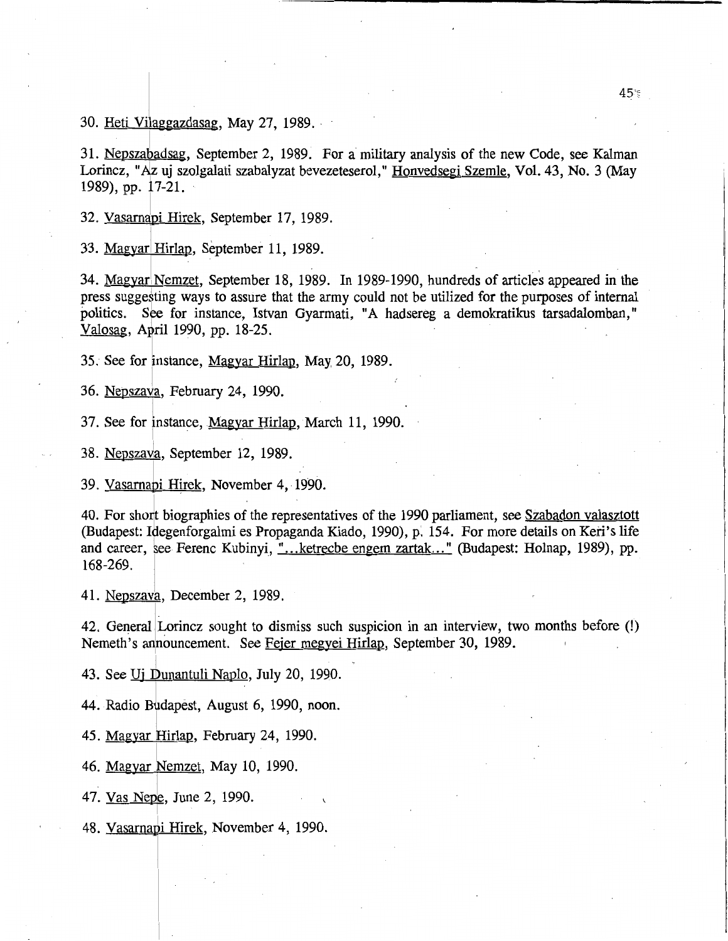30. Heti vilaggazdasag. May 27, 1989.

. I

31. Nepszabadsag, September 2, 1989. For a military analysis of the new Code, see Kalman Lorincz, "Az uj szolgalati szabalyzat bevezeteserol," Honvedsegi Szemle, Vol. 43, No. 3 (May 1989), pp. 17-21. ·

32. Vasarnapi Hirek, September 17, 1989.

33. Magyar Hirlap, September 11, 1989.

34. Magyar Nemzet, September 18, 1989. In 1989-1990, hundreds of articles appeared in the press suggesting ways to assure that the army could not be utilized for the purposes of internal politics. See for instance, Istvan Gyarmati, "A hadsereg a demokratikus tarsadalomban," Valosag, April 1990, pp. 18-25.

35. See for instance, Magyar Hirlap, May 20, 1989.

36. Nepszava, February 24, 1990.

37. See for instance,  $M$ agyar Hirlap, March 11, 1990.

38. Nepszava, September 12, 1989.

39. Vasarnapi Hirek, November 4, 1990.

40. For short biographies of the representatives of the 1990 parliament, see Szabadon valasztott (Budapest: Idegenforgalmi es Propaganda Kiado, 1990), p. 154. For more details on Keri's life and career, see Ferenc Kubinyi, "... ketrecbe engem zartak..." (Budapest: Holnap, 1989), pp. 168-269.

41. Nepszava, December 2, 1989.

42. General Lorincz sought to dismiss such suspicion in an interview, two months before (!) Nemeth's announcement. See Fejer megyei Hirlap, September 30, 1989.

 $\frac{1}{2}$   $\frac{1}{2}$   $\frac{1}{2}$   $\frac{1}{2}$   $\frac{1}{2}$   $\frac{1}{2}$   $\frac{1}{2}$   $\frac{1}{2}$   $\frac{1}{2}$   $\frac{1}{2}$   $\frac{1}{2}$   $\frac{1}{2}$   $\frac{1}{2}$   $\frac{1}{2}$   $\frac{1}{2}$   $\frac{1}{2}$   $\frac{1}{2}$   $\frac{1}{2}$   $\frac{1}{2}$   $\frac{1}{2}$   $\frac{1}{2}$   $\frac{1}{2}$  43. See <u>Uj Dunantuli Naplo</u>, July 20, 1990.

44. Radio Budapest, August 6, 1990, noon.

45. Magyar Hirlap, February 24, 1990.

46. Magyar kemzet, May 10, 1990.

2. A vas Nepe, June 2, 1990.

48. Vasarnapi Hirek, November 4, 1990.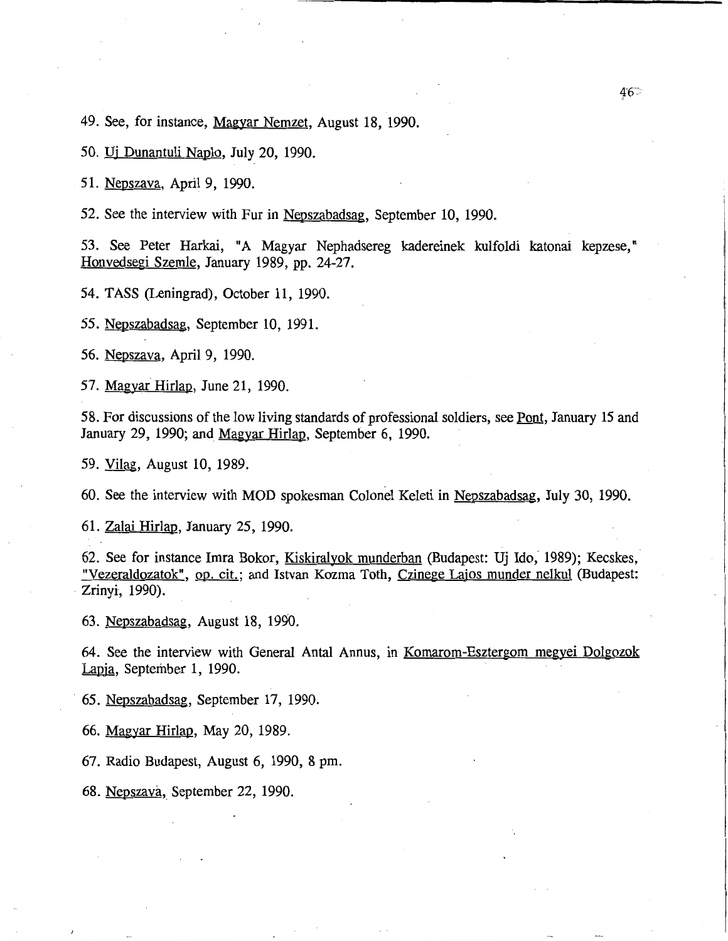49. See, for instance, Magyar Nemzet, August 18, 1990.

50. Uj Dunantuli Naplo, July 20, 1990.

51. Nepszava, April 9, 1990.

52. See the interview with Fur in Nepszabadsag, September 10, 1990.

53. See Peter Harkai, "A Magyar Nephadsereg kadereinek kulfoldi katonai kepzese," Honvedsegi Szemle, January 1989, pp. 24-27.

54. TASS (Leningrad), October 11, 1990.

*55.* Nepszabadsag, September 10, 1991.

56. Nepszava, April 9, 1990.

57. Magyar Hirlap. June 21, 1990.

58. For discussions of the low living standards of professional soldiers, see Pont, January 15 and January 29, 1990; and Magyar Hirlap, September 6, 1990.

*59.* Vilag, August 10, 1989.

60. See the interview with MOD spokesman Colonel Keleti in Nepszabadsag, July 30, 1990.

61. Zalai Hirlap, January 25, 1990.

62. See for instance Imra Bokor, Kiskiralyok munderban (Budapest: Uj Ido, 1989); Kecskes, "Vezeraldozatok", op. cit.; and Istvan Kozma Toth, Czinege Lajos munder nelkul (Budapest: Zrinyi, 1990).

63. Nepszabadsag, August 18, 1990.

64. See the interview with General Antal Annus, in Komarom-Esztergom megyei Dolgozok Lapia, September 1, 1990.

· 65. Nepszabadsag. September 17, 1990.

66. Magyar Hirlap, May 20, 1989.

67. Radio Budapest, August 6, 1990, 8 pm.

68. Nepszava, September 22, 1990.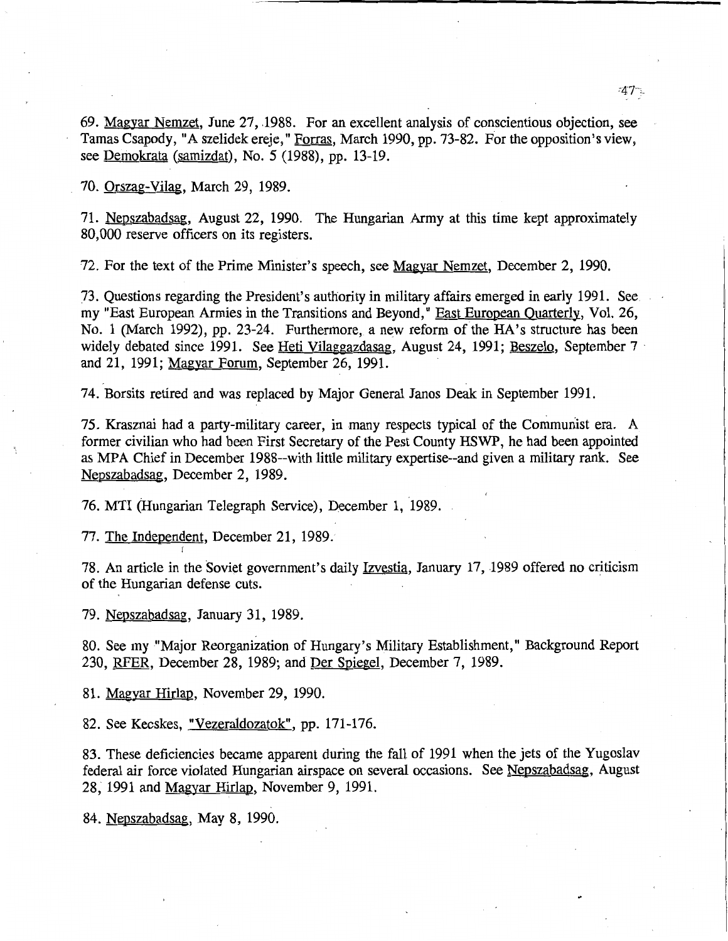69. Magyar Nemzet, June 27, 1988. For an excellent analysis of conscientious objection, see Tamas Csapody, "A szelidek ereje," Forras, March 1990, pp. 73-82. For the opposition's view, see Demokrata (samizdat), No. *5* (1988), pp. 13-19.

70. Orszag-Vilag, March 29, 1989.

71. Nepszabadsag, August 22, 1990. The Hungarian Army at this time kept approximately 80,000 reserve officers on its registers.

72. For the text of the Prime Minister's speech, see Magyar Nemzet, December 2, 1990.

73. Questions regarding the President's authority in military affairs emerged in early 1991. See my "East European Armies in the Transitions and Beyond," East European Quarterly, Vol. 26, No. 1 (March 1992), pp. 23-24. Furthermore, a new reform of the HA's structure has been widely debated since 1991. See Heti Vilaggazdasag, August 24, 1991; Beszelo, September 7 · and 21, 1991; Magyar Forum, September 26, 1991.

74. Borsits retired and was replaced by Major General Janos Deak in September 1991.

75. Krasznai had a party-military career, in many respects typical of the Communist era. A former civilian who had been First Secretary of the Pest County HSWP, he had been appointed as MPA Chief in December 1988--with little military expertise--and given a military rank. See Nepszabadsag, December 2, 1989.

76. MTI (Hungarian Telegraph Service), December 1, 1989.

77. The Independent, December 21, 1989.

78. An article in the Soviet government's daily Izvestia, January 17, 1989 offered no criticism of the Hungarian defense cuts.

79. Nepszabadsag, January 31, 1989.

i

80. See my "Major Reorganization of Hungary's Military Establishment," Background Report 230, RFER, December 28, 1989; and Der Spiegel, December 7, 1989.

81. Magyar Hirlap, November 29, 1990.

82. See Kecskes, "Vezeraldozatok", pp. 171-176.

83. These deficiencies became apparent during the fall of 1991 when the jets of the Yugoslav federal air force violated Hungarian airspace on several occasions. See Nepszabadsag, August 28, 1991 and Magyar Hirlap. November 9, 1991.

84. Nepszabadsag, May 8, 1990.

 $-47$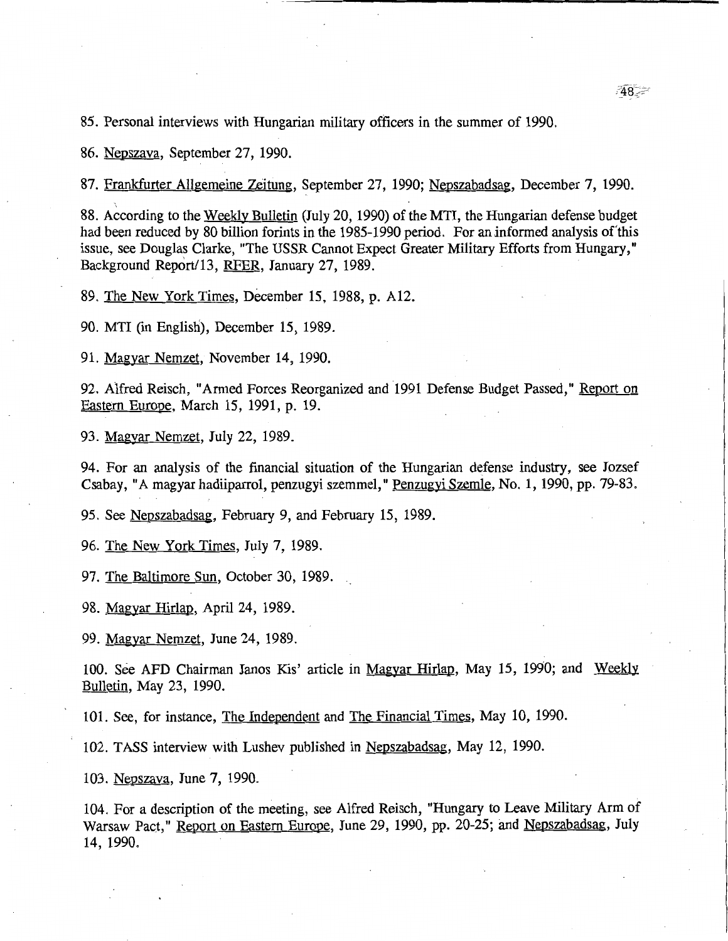85. Personal interviews with Hungarian military officers in the summer of 1990.

86. Nepszava, September 27, 1990.

87. Frankfurter Allgemeine Zeitung, September 27, 1990; Nepszabadsag, December 7, 1990.

88. According to the Weekly Bulletin (July 20, 1990) of the MTI, the Hungarian defense budget had been reduced by 80 billion forints in the 1985-1990 period. For an informed analysis of this issue, see Douglas Clarke, "The USSR Cannot Expect Greater Military Efforts from Hungary," Background Report/13, RFER, January 27, 1989.

89. The New York Times, December 15, 1988, p. A12.

90. MTI (in English), December 15, 1989.

91. Magyar Nemzet, November 14, 1990.

92. Alfred Reisch, "Armed Forces Reorganized and 1991 Defense Budget Passed," Report on Eastern Europe, March 15, 1991, p. 19.

93. Magyar Nemzet, July 22, 1989.

94. For an analysis of the financial situation of the Hungarian defense industry, see Jozsef Csabay, "A magyar hadiiparrol, penzugyi szemmel," Penzugyi Szemle, No. 1, 1990, pp. 79-83.

95. See Nepszabadsag, February 9, and February 15, 1989.

96. The New York Times, July 7, 1989.

97. The Baltimore Sun, October 30, 1989.

98. Magyar Hirlap, April 24, 1989.

99. Magyar Nemzet, June 24, 1989.

100. See AFD Chairman Janos Kis' article in Magyar Hirlap, May 15, 1990; and Weekly Bulletin, May 23, 1990.

101. See, for instance, The Independent and The Financial Times, May 10, 1990.

102. TASS interview with Lushev published in Nepszabadsag, May 12, 1990.

103. Nepszava, June 7, 1990.

104. For a description of the meeting, see Alfred Reisch, "Hungary to Leave Military Arm of Warsaw Pact," Report on Eastern Europe, June 29, 1990, pp. 20-25; and Nepszabadsag. July 14, 1990.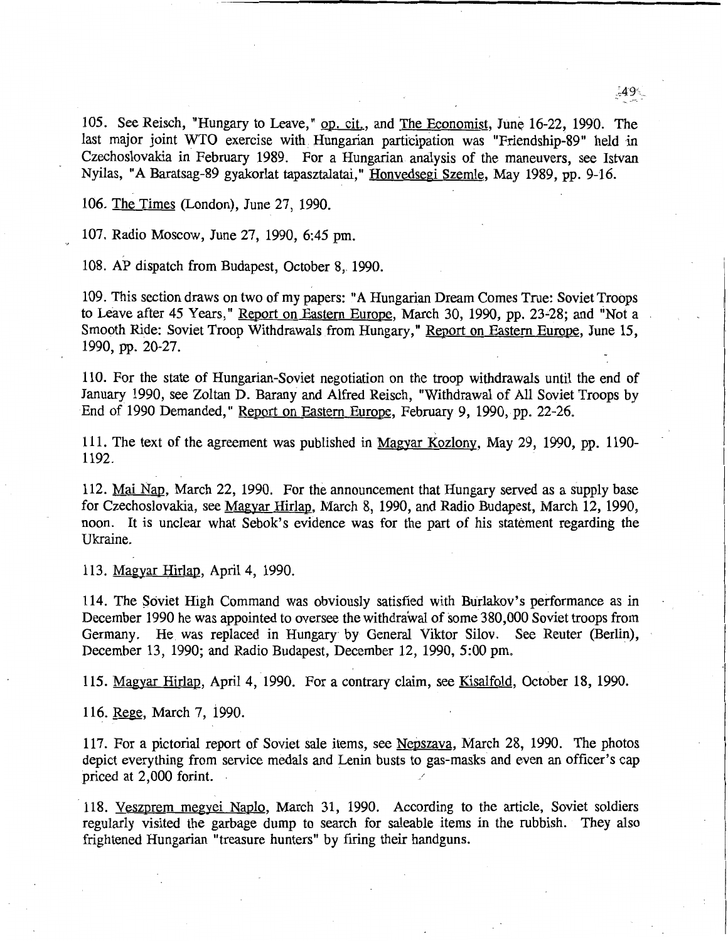105. See Reisch, "Hungary to Leave," op. cit., and The Economist, June 16-22, 1990. The last major joint WTO exercise with. Hungarian participation was "Friendship-89" held in Czechoslovakia in February 1989. For a Hungarian analysis of the maneuvers, see Istvan Nyilas, "A Baratsag-89 gyakorlat tapasztalatai," Honvedsegi Szemle, May 1989, pp. 9-16.

106. The Times (London), June 27, 1990.

107. Radio Moscow, June 27, 1990, 6:45 pm.

108. AP dispatch from Budapest, October 8, 1990.

109. This section draws on two of my papers: "A Hungarian Dream Comes True: Soviet Troops to Leave after 45 Years," Report on Eastern Europe, March 30, 1990, pp. 23-28; and "Not a Smooth Ride: Soviet Troop Withdrawals from Hungary," Report on Eastern Europe, June 15, 1990, pp. 20-27.

110. For the state of Hungarian-Soviet negotiation on the troop withdrawals until the end of January 1990, see Zoltan D. Barany and Alfred Reisch, "Withdrawal of All Soviet Troops by End of 1990 Demanded," Report on Eastern Europe, February 9, 1990, pp. 22-26.

111. The text of the agreement was published in Magyar Kozlony, May 29, 1990, pp. 1190- 1192.

112. Mai Nap, March 22, 1990. For the announcement that Hungary served as a supply base for Czechoslovakia, see Magyar Hirlap, March 8, 1990, and Radio Budapest, March 12, 1990, noon. It is unclear what Sebok's evidence was for the part of his statement regarding the Ukraine.

113. Magyar Hirlap, April 4, 1990.

114. The Soviet High Command was obviously satisfied with Burlakov's performance as in December 1990 he was appointed to oversee the withdrawal of some 380,000 Soviet troops from Germany. He was replaced in Hungary· by General Viktor Silov. See Reuter (Berlin), December 13, 1990; and Radio Budapest, December 12, 1990, 5:00 pm.

115. Magyar Hirlap, April 4, 1990. For a contrary claim, see Kisalfold, October 18, 1990.

116. Rege, March 7, i990.

117. For a pictorial report of Soviet sale items, see Nepszava, March 28, 1990. The photos depict everything from service medals and Lenin busts to gas-masks and even an officer's cap priced at 2,000 forint.

· 118. Veszprem megyei Naplo, March 31, 1990. According to the article, Soviet soldiers regularly visited the garbage dump to search for saleable items in the rubbish. They also frightened Hungarian "treasure hunters" by firing their handguns.